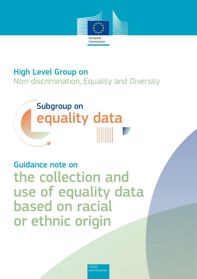

# High Level Group on Non-discrimination, Equality and Diversity

# Subgroup on equality data

# Guidance note on the collection and use of equality data based on racial or ethnic origin

*Justice and Consumers*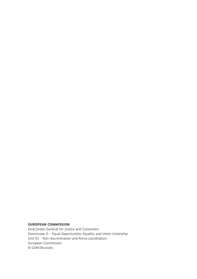#### **EUROPEAN COMMISSION**

Directorate-General for Justice and Consumers Directorate D – Equal Opportunities Equality and Union citizenship Unit D1 - Non-discrimination and Roma coordination European Commission B-1049 Brussels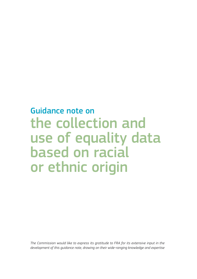# Guidance note on the collection and use of equality data based on racial or ethnic origin

*The Commission would like to express its gratitude to FRA for its extensive input in the development of this guidance note, drawing on their wide-ranging knowledge and expertise*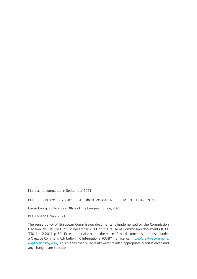Manuscript completed in September 2021

PDF ISBN 978-92-76-40969-4 doi:10.2838/06180 DS-01-21-144-EN-N

Luxembourg: Publications Office of the European Union, 2021

© European Union, 2021

The reuse policy of European Commission documents is implemented by the Commission Decision 2011/833/EU of 12 December 2011 on the reuse of Commission documents (OJ L 330, 14.12.2011, p. 39). Except otherwise noted, the reuse of this document is authorised under a Creative Commons Attribution 4.0 International (CC-BY 4.0) licence [\(https://creativecommons.](https://creativecommons.org/licenses/by/4.0/) [org/licenses/by/4.0/\)](https://creativecommons.org/licenses/by/4.0/). This means that reuse is allowed provided appropriate credit is given and any changes are indicated.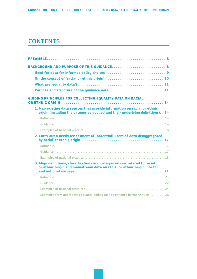# **CONTENTS**

| Purpose and structure of the guidance note  11                                                                                                                |
|---------------------------------------------------------------------------------------------------------------------------------------------------------------|
| <b>GUIDING PRINCIPLES FOR COLLECTING EQUALITY DATA ON RACIAL</b>                                                                                              |
| 1. Map existing data sources that provide information on racial or ethnic<br>origin (including the categories applied and their underlying definitions). . 14 |
|                                                                                                                                                               |
|                                                                                                                                                               |
|                                                                                                                                                               |
| 2. Carry out a needs assessment of (potential) users of data disaggregated                                                                                    |
|                                                                                                                                                               |
|                                                                                                                                                               |
|                                                                                                                                                               |
| 3. Align definitions, classifications and categorisations related to racial<br>or ethnic origin and mainstream data on racial or ethnic origin into EU        |
|                                                                                                                                                               |
|                                                                                                                                                               |
|                                                                                                                                                               |
| Examples from approaches equality bodies take to enhance harmonisation  26                                                                                    |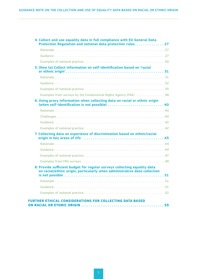| 5. (How to) Collect information on self-identification based on 'racial                                                                                |
|--------------------------------------------------------------------------------------------------------------------------------------------------------|
|                                                                                                                                                        |
|                                                                                                                                                        |
|                                                                                                                                                        |
| Examples from surveys by the Fundamental Rights Agency (FRA) 38                                                                                        |
| 6. Using proxy information when collecting data on racial or ethnic origin                                                                             |
|                                                                                                                                                        |
|                                                                                                                                                        |
|                                                                                                                                                        |
|                                                                                                                                                        |
| 7. Collecting data on experience of discrimination based on ethnic/racial                                                                              |
|                                                                                                                                                        |
|                                                                                                                                                        |
|                                                                                                                                                        |
|                                                                                                                                                        |
| 8. Provide sufficient budget for regular surveys collecting equality data<br>on racial/ethnic origin, particularly when administrative data collection |
|                                                                                                                                                        |
|                                                                                                                                                        |
|                                                                                                                                                        |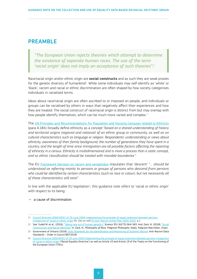# <span id="page-7-0"></span>PREAMBLE

*"The European Union rejects theories which attempt to determine the existence of separate human races. The use of the term 'racial origin' does not imply an acceptance of such theories".1*

Race/racial origin and/or ethnic origin are **social constructs** and as such they are weak proxies for the genetic diversity of humankind<sup>2</sup>. While some individuals may self-identify as 'white' or 'black', racism and racial or ethnic discrimination are often shaped by how society categorises individuals in racialised terms.

Ideas about race/racial origin are often ascribed to or imposed on people, and individuals or groups can be racialised by others in ways that negatively affect their experiences and how they are treated. The social construct of race/racial origin is distinct from but may overlap with how people identify themselves, which can be much more varied and complex.<sup>3</sup>

The [UN Principles and Recommendations for Population and Housing Censuses related to Ethnicity](https://unstats.un.org/unsd/demographic-social/Standards-and-Methods/files/Principles_and_Recommendations/Population-and-Housing-Censuses/Series_M67rev3-E.pdf) (para 4.184.) broadly define ethnicity as a concept "*based on a shared understanding of history and territorial origins (regional and national) of an ethnic group or community, as well as on cultural characteristics such as language or religion. Respondents' understanding or views about ethnicity, awareness of their family background, the number of generations they have spent in a country, and the length of time since immigration are all possible factors affecting the reporting of ethnicity in a census. Ethnicity is multidimensional and is more a process than a static concept, and so ethnic classification should be treated with movable boundaries.*"

The EU [Framework Decision on racism and xenophobia](https://eur-lex.europa.eu/legal-content/en/TXT/?uri=CELEX%3A32008F0913) stipulates that 'descent' "*… should be understood as referring mainly to persons or groups of persons who descend from persons*  who could be identified by certain characteristics (such as race or colour), but not necessarily all *of these characteristics still exist*".

In line with the applicable EU legislation<sup>4</sup>, this guidance note refers to 'racial or ethnic origin' with respect to its being:

#### $\rightarrow$  a cause of discrimination.

<sup>1/</sup> Council Directive 2000/43/EC of 29 June 2000 [implementing the principle of equal treatment between persons](https://eur-lex.europa.eu/legal-content/EN/TXT/?uri=celex%3A32000L0043)  [irrespective of racial or ethnic origin](https://eur-lex.europa.eu/legal-content/EN/TXT/?uri=celex%3A32000L0043) (6). See as well EU Anti-Racism Action Plan 2020-2025, p.1.

<sup>2/</sup> See: Yudell M. et al., (2016), '[Taking race out of human genetics](https://doi.org/10.1126/science.aac4951)', *Science* 351 (6273):564-565. And: Zack, N. (2018), ['Social](https://link.springer.com/chapter/10.1007/978-3-319-78729-9_6) [Construction and Racial Identities](https://link.springer.com/chapter/10.1007/978-3-319-78729-9_6)' In: Zack, N., *Philosophy of Race. Palgrave Philosophy Today*. Palgrave Macmillan, Cham.

<sup>3/</sup> Government of Ontario (2018), *[Data Standards for the Identification and Monitoring of Systemic Racism](https://www.ontario.ca/page/anti-racism-data-standards-order-council-8972018)*. Anti-Racism Data Standards – Order in Council 897/2018.

<sup>4/</sup> Council Directive 2000/43/EC of 29 June 2000 [implementing the principle of equal treatment between persons irrespective](https://eur-lex.europa.eu/legal-content/EN/TXT/?uri=celex%3A32000L0043) [of racial or ethnic origin](https://eur-lex.europa.eu/legal-content/EN/TXT/?uri=celex%3A32000L0043) ('Racial Equality Directive') as well as Article 10 and Article 19 of the Treaty on the Functioning of the European Union (TFEU).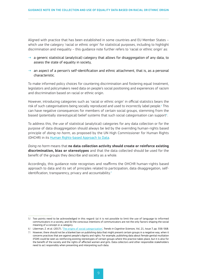Aligned with practice that has been established in some countries and EU Member States – which use the category 'racial or ethnic origin' for statistical purposes, including to highlight discrimination and inequality – this guidance note further refers to 'racial or ethnic origin' as:

- $\rightarrow$  a generic statistical (analytical) category that allows for disaggregation of any data, to assess the state of equality in society,
- $\rightarrow$  an aspect of a person's self-identification and ethnic attachment, that is, as a personal characteristic.

To make informed policy choices for countering discrimination and fostering equal treatment, legislators and policymakers need data on people's social positioning and experiences of racism and discrimination based on racial or ethnic origin.

However, introducing categories such as 'racial or ethnic origin' in official statistics bears the risk of such categorisations being socially reproduced and used to incorrectly label people.<sup>5</sup> This can have negative consequences for members of certain social groups, stemming from the biased (potentially stereotypical) belief systems that such social categorisation can support<sup>6</sup>.

To address this, the use of statistical (analytical) categories for any data collection or for the purpose of data disaggregation should always be led by the overriding human-rights based principle of *doing no harm,* as proposed by the UN High Commissioner for Human Rights (OHCHR) in its [Human Rights-based Approach to Data](https://www.ohchr.org/Documents/Issues/HRIndicators/GuidanceNoteonApproachtoData.pdf).

*Doing no harm* means that **no data collection activity should create or reinforce existing discrimination, bias or stereotypes** and that the data collected should be used for the benefit of the groups they describe and society as a whole.

Accordingly, this guidance note recognises and reaffirms the OHCHR human-rights based approach to data and its set of principles related to participation, data disaggregation, selfidentification, transparency, privacy and accountability.<sup>7</sup>

<sup>5/</sup> Two points need to be acknowledged in this regard: (a) it is not possible to limit the use of language to informed communicators in a society, and (b) the conscious intentions of communicators are not the only factors shaping the social meaning of a concept or a category.

<sup>6/</sup> Liberman, Z. et al. (2017), '[The origins of social categorization',](https://doi.org/10.1016/j.tics.2017.04.004) *Trends in Cognitive Sciences*, Vol, 21, Issue 7, pp. 556-568.

<sup>7/</sup> However, there should not be a blanket ban on publishing data that might present certain groups in a negative way, when it concerns practices that are against people's dignity and rights. For example, publishing data about female genital mutilation (FGM) could be seen as reinforcing existing stereotypes of certain groups where this practice takes place, but it is also for the benefit of the society and the rights of affected women and girls. Data collectors and other responsible stakeholders need to act responsibly when presenting and interpreting such data.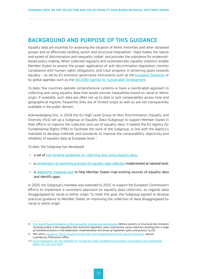# <span id="page-9-0"></span>BACKGROUND AND PURPOSE OF THIS GUIDANCE

Equality data are essential for assessing the situation of ethnic minorities and other racialised groups and so effectively tackling racism and structural inequalities.<sup>8</sup> Data makes the nature and extent of discrimination and inequality visible<sup>9</sup> and provides the substance for evidencedbased policy making. When collected regularly and systematically, equality statistics enable Member States to assess the proper application of anti-discrimination legislation, monitor compliance with human rights obligations, and track progress in achieving goals towards equality - as set by EU economic governance instruments such as the [European Semester](https://ec.europa.eu/info/business-economy-euro/economic-and-fiscal-policy-coordination/eu-economic-governance-monitoring-prevention-correction/european-semester_en) or by global agendas such as the UN 2030 [Agenda for Sustainable Development.](https://sdgs.un.org/2030agenda)

To date, few countries operate comprehensive systems or have a coordinated approach to collecting and using equality data that would uncover inequalities based on racial or ethnic origin. If available, such data are often not up to date or lack comparability across time and geographical regions; frequently they are of limited scope as well as are not transparently available in the public domain.

Acknowledging this, in 2018 the EU High Level Group on Non-Discrimination, Equality and Diversity (HLG) set up a Subgroup on Equality Data (Subgroup) to support Member States in their efforts to improve the collection and use of equality data. It tasked the EU Agency for Fundamental Rights (FRA) to facilitate the work of the Subgroup, in line with the Agency's mandate to develop methods and standards to improve the comparability, objectivity and reliability of equality data at European level.10

To date, the Subgroup has developed:

- $\rightarrow$  a set of non-binding quidelines on collecting and using equality data,
- $\rightarrow$  a [compendium of promising practices for equality data collection](https://fra.europa.eu/en/promising-practices-list) implemented at national level.
- $\rightarrow$  a [diagnostic mapping tool](https://fra.europa.eu/en/themes/equality-non-discrimination-and-racism/about-compendium#diagnostic-tool) to help Member States map existing sources of equality data and identify gaps.

In 2020, the Subgroup's mandate was extended to 2025, to support the European Commission's efforts to implement a consistent approach on equality data collection, as regards data disaggregated by racial or ethnic origin. To meet this goal, the Subgroup agreed to develop practical guidance to Member States on improving the collection of data disaggregated by racial or ethnic origin.

<sup>8/</sup> [The Council Recommendation on Roma equality, inclusion and participation](https://data.consilium.europa.eu/doc/document/ST-6070-2021-INIT/en/pdf) defines systemic or structural discrimination "*as being evident in the inequalities that result from legislation, policy and practice, not by intent but resulting from a range of institutional factors in the elaboration, implementation and review of legislation, policy and practice*" (p.20).

<sup>9/</sup> FRA (2021), *Equality in the EU 20 [years on from the initial implementation of the Equality Directives](https://fra.europa.eu/sites/default/files/fra_uploads/fra-2021-opinion-equality-directives-01-2021_en.pdf)*. Opinion. Luxembourg: Publications Office.

<sup>10/</sup> Council Regulation (EC) No 168/2007 of 15 February 2007 [establishing a European Union Agency for Fundamental](https://eur-lex.europa.eu/legal-content/EN/ALL/?uri=CELEX%3A32007R0168)  [Rights](https://eur-lex.europa.eu/legal-content/EN/ALL/?uri=CELEX%3A32007R0168), OJ L 53, 22.2.2007.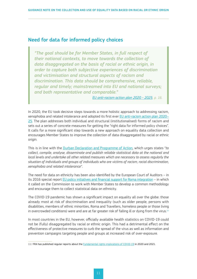#### <span id="page-10-0"></span>Need for data for informed policy choices

*"The goal should be for Member States, in full respect of their national contexts, to move towards the collection of data disaggregated on the basis of racial or ethnic origin, in order to capture both subjective experiences of discrimination and victimisation and structural aspects of racism and discrimination. This data should be comprehensive, reliable, regular and timely; mainstreamed into EU and national surveys; and both representative and comparable."* 

*[EU anti-racism action plan 2020](https://ec.europa.eu/info/sites/default/files/a_union_of_equality_eu_action_plan_against_racism_2020_-2025_en.pdf) - 2025, p. 16.* 

In 2020, the EU took decisive steps towards a more holistic approach to addressing racism, xenophobia and related intolerance and adopted its first ever [EU anti-racism action plan 2020–](https://ec.europa.eu/info/sites/default/files/a_union_of_equality_eu_action_plan_against_racism_2020_-2025_en.pdf) [25](https://ec.europa.eu/info/sites/default/files/a_union_of_equality_eu_action_plan_against_racism_2020_-2025_en.pdf). The plan addresses both individual and structural (institutionalised) forms of racism and sets out a series of concrete measures for getting the "right data for informed policy choices". It calls for a more significant step towards a new approach on equality data collection and encourages Member States to improve the collection of data disaggregated by racial or ethnic origin.

This is in line with the [Durban Declaration and Programme of Action,](https://www.un.org/en/durbanreview2009/pdf/DDPA_full_text.pdf) which urges states "*to collect, compile, analyse, disseminate and publish reliable statistical data at the national and local levels and undertake all other related measures which are necessary to assess regularly the situation of individuals and groups of individuals who are victims of racism, racial discrimination, xenophobia and related intolerance*".

The need for data on ethnicity has been also identified by the European Court of Auditors – in its 2016 special report [EU policy initiatives and financial support for Roma integration](https://www.eca.europa.eu/Lists/ECADocuments/SR16_14/SR_ROMA_EN.pdf) – in which it called on the Commission to work with Member States to develop a common methodology and encourage them to collect statistical data on ethnicity.

The COVID-19 pandemic has shown a significant impact on equality all over the globe: those already most at risk of discrimination and inequality (such as older people, persons with disabilities, members of ethnic minorities, Roma and Travellers, homeless people or those living in overcrowded conditions) were and are at far greater risk of falling ill or dying from the virus.<sup>11</sup>

In most countries in the EU, however, officially available health statistics on COVID-19 could not be (fully) disaggregated by racial or ethnic origin. This had a detrimental effect on the effectiveness of protective measures to curb the spread of the virus as well as information and prevention campaigns targeting people and groups at increased risk of over-exposure.

<sup>11/</sup> FRA has published regular reports about the [Fundamental rights implications of COVID-19](https://fra.europa.eu/en/themes/covid-19) in 2020 and 2021.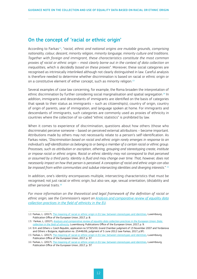#### <span id="page-11-0"></span>On the concept of 'racial or ethnic origin'

According to Farkas<sup>12</sup>, "*racial, ethnic and national origins are mutable grounds, comprising nationality, colour, descent, minority religion, minority language, minority culture and traditions. Together with foreign and immigrant, these characteristics constitute the most common proxies of racial or ethnic origin – most clearly borne out in the context of data collection on inequalities, which is decidedly based on these proxies*". Moreover, these social categories are recognised as intrinsically interlinked although not clearly distinguished in law. Careful analysis is therefore needed to determine whether discrimination is based on racial or ethnic origin or on a constitutive element of either concept, such as minority religion.<sup>13</sup>

Several examples of case law concerning, for example, the Roma broaden the interpretation of ethnic discrimination by further considering social marginalisation and spatial segregation.<sup>14</sup> In addition, immigrants and descendants of immigrants are identified on the basis of categories that speak to their status as immigrants – such as citizenship(s), country of origin, country of origin of parents, year of immigration, and language spoken at home. For immigrants and descendants of immigrants, such categories are commonly used as proxies of ethnicity in countries where the collection of so-called "ethnic statistics" is prohibited by law.

When it comes to experience of discrimination, questions about how others (those who discriminate) perceive someone – based on perceived external attributions – become important. Attributions made by others may not necessarily relate to a person's self-identification. As Farkas notes, "*Discrimination based on racial and ethnic origin rarely emerges in response to an individual's self-identification as belonging to or being a member of a certain racial or ethnic group. Processes, such as attribution or ascription, othering, grouping and stereotyping create, institute or impose racial or ethnic origins. Racial or ethnic identity may not correspond to that perceived or assumed by a third party. Identity is fluid and may change over time. That, however, does not necessarily impact on how that person is perceived. A conception of racial and ethnic origin can also be imposed from within communities and subdue intersecting identities and diverging interests.*" <sup>15</sup>

In addition, one's identity encompasses multiple, intersecting characteristics that must be recognised; not just racial or ethnic origin, but also sex, age, sexual orientation, (dis)ability and other personal traits.<sup>16</sup>

*For more information on the theoretical and legal framework of the definition of racial or ethnic origin, see the Commission's report on [Analysis and comparative review of equality data](https://op.europa.eu/en/publication-detail/-/publication/1dcc2e44-4370-11ea-b81b-01aa75ed71a1/language-nl) [collection practices in the field of ethnicity in the EU.](https://op.europa.eu/en/publication-detail/-/publication/1dcc2e44-4370-11ea-b81b-01aa75ed71a1/language-nl)*

<sup>12/</sup> Farkas, L. (2017), [The meaning of racial or ethnic origin in EU law: between stereotypes and identities,](https://ec.europa.eu/newsroom/just/items/54924) Luxembourg, Publication Office of the European Union, 2017, p. 8.

<sup>13/</sup> Farkas, L, (2017), *[Analysis and comparative review of equality data collection practices in the European Union: Data](https://www.statewatch.org/media/documents/news/2018/mar/eu-com-data-collection-field-of-equality-study-2017.pdf)  [collection in the field of ethnicity](https://www.statewatch.org/media/documents/news/2018/mar/eu-com-data-collection-field-of-equality-study-2017.pdf),* Luxembourg: Publications Office of the European Union, 2017, p. 9.

<sup>14/</sup> D.H. and Others v. Czech Republic, application no 57325/00, Grand Chamber judgment of 13 November 2007 and Yordanova and Others v Bulgaria, Application no. 25446/06, judgment of 5 June 2012 (see Farkas, 2017, p.9f).

<sup>15/</sup> Farkas, L. (2017), [The meaning of racial or ethnic origin in EU law: between stereotypes and identities,](https://ec.europa.eu/newsroom/just/items/54924) Luxembourg, Publication Office of the European Union, 2017, p. 37.

<sup>16/</sup> Farkas, L. (2017), [The meaning of racial or ethnic origin in EU law: between stereotypes and identities,](https://ec.europa.eu/newsroom/just/items/54924) Luxembourg, Publication Office of the European Union, 2017, p. 37.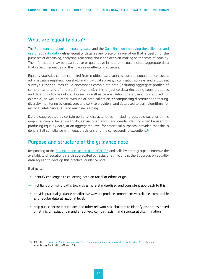# <span id="page-12-0"></span>What are 'equality data'?

The [European handbook on equality data](http://ec.europa.eu/newsroom/just/document.cfm?action=display&doc_id=43205), and the [Guidelines on improving the collection and](https://ec.europa.eu/info/sites/default/files/final_guidelines_4-10-18_without_date_july.pdf) [use of equality data](https://ec.europa.eu/info/sites/default/files/final_guidelines_4-10-18_without_date_july.pdf) define 'equality data' as any piece of information that is useful for the purposes of describing, analysing, reasoning about and decision-making on the state of equality. The information may be quantitative or qualitative in nature. It could include aggregate data that reflect inequalities or their causes or effects in societies.

Equality statistics can be complied from multiple data sources, such as population censuses, administrative registers, household and individual surveys, victimisation surveys, and attitudinal surveys. Other sources could encompass complaints data (including aggregate profiles of complainants and offenders, for example), criminal justice data (including court statistics and data on outcomes of court cases, as well as compensation offered/sanctions applied, for example), as well as other avenues of data collection, encompassing discrimination testing, diversity monitoring by employers and service providers, and data used to train algorithms for artificial intelligence (AI) and machine learning.

Data disaggregated by certain personal characteristics – including age, sex, racial or ethnic origin, religion or belief, disability, sexual orientation, and gender identity – can be used for producing equality data, at an aggregated level for statistical purposes, provided that this is done in full compliance with legal provisions and the corresponding exceptions.<sup>17</sup>

### Purpose and structure of the guidance note

Responding to the [EU anti-racism action plan 2020-25](https://ec.europa.eu/info/sites/default/files/a_union_of_equality_eu_action_plan_against_racism_2020_-2025_en.pdf) and calls by other groups to improve the availability of equality data disaggregated by racial or ethnic origin, the Subgroup on equality data agreed to develop this practical guidance note.

It aims to:

- $\rightarrow$  identify challenges to collecting data on racial or ethnic origin.
- $\rightarrow$  highlight promising paths towards a more standardised and consistent approach to this.
- $\rightarrow$  provide practical guidance on effective ways to produce comprehensive, reliable, comparable and regular data at national level.
- $\rightarrow$  help public sector institutions and other relevant stakeholders to identify disparities based on ethnic or racial origin and effectively combat racism and structural discrimination.

<sup>17/</sup> FRA (2021), *Equality in the EU 20 [years on from the initial implementation of the Equality Directives](https://fra.europa.eu/sites/default/files/fra_uploads/fra-2021-opinion-equality-directives-01-2021_en.pdf)*. Opinion. Luxembourg: Publications Office, p.65.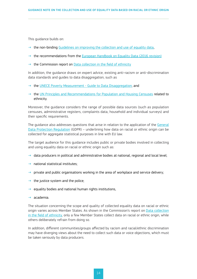This guidance builds on:

- $\rightarrow$  the non-binding [Guidelines on improving the collection and use of equality data,](https://ec.europa.eu/info/sites/default/files/final_guidelines_4-10-18_without_date_july.pdf)
- $\rightarrow$  the recommendations from the [European Handbook on Equality Data \(2016](https://ec.europa.eu/newsroom/just/document.cfm?action=display&doc_id=43205) revision)
- $\rightarrow$  the Commission report on [Data collection in the field of ethnicity](https://www.humanconsultancy.com/downloads/691-specific-report-on-equality-data-based-on-racial-and-ethnic-origin-pdf-1-49-mb)

In addition, the guidance draws on expert advice, existing anti-racism or anti-discrimination data standards and guides to data disaggregation, such as

- $\rightarrow$  the UNECE Poverty Measurement  [Guide to Data Disaggregation,](https://unece.org/sites/default/files/2021-01/ECECESSTAT20204.pdf) and
- → the [UN Principles and Recommendations for Population and Housing Censuses](https://unstats.un.org/unsd/demographic-social/Standards-and-Methods/files/Principles_and_Recommendations/Population-and-Housing-Censuses/Series_M67rev3-E.pdf) related to ethnicity.

Moreover, the guidance considers the range of possible data sources (such as population censuses, administrative registers, complaints data, household and individual surveys) and their specific requirements.

The quidance also addresses questions that arise in relation to the application of the [General](https://eur-lex.europa.eu/eli/reg/2016/679/oj) [Data Protection Regulation](https://eur-lex.europa.eu/eli/reg/2016/679/oj) (GDPR) - underlining how data on racial or ethnic origin can be collected for aggregate statistical purposes in line with EU law.

The target audience for this guidance includes public or private bodies involved in collecting and using equality data on racial or ethnic origin such as:

- $\rightarrow$  data producers in political and administrative bodies at national, regional and local level;
- $\rightarrow$  national statistical institutes;
- $\rightarrow$  private and public organisations working in the area of workplace and service delivery;
- the justice system and the police;
- $\rightarrow$  equality bodies and national human rights institutions,
- $\rightarrow$  academia.

The situation concerning the scope and quality of collected equality data on racial or ethnic origin varies across Member States. As shown in the Commission's report on [Data collection](https://www.statewatch.org/media/documents/news/2018/mar/eu-com-data-collection-field-of-equality-study-2017.pdf) [in the field of ethnicity](https://www.statewatch.org/media/documents/news/2018/mar/eu-com-data-collection-field-of-equality-study-2017.pdf), only a few Member States collect data on racial or ethnic origin, while others deliberately refrain from doing so.

In addition, different communities/groups affected by racism and racial/ethnic discrimination may have diverging views about the need to collect such data or voice objections, which must be taken seriously by data producers.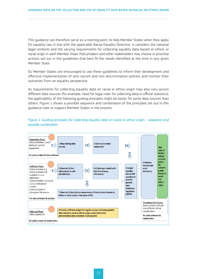This guidance can therefore serve as a starting point, to help Member States when they apply EU equality law in line with the applicable Racial Equality Directive. It considers the national legal contexts and the varying requirements for collecting equality data based on ethnic or racial origin in each Member State. Policymakers and other stakeholders may choose or prioritise actions set out in the guidelines that best fit the needs identified at the time in any given Member State.

EU Member States are encouraged to use these guidelines to inform their development and effective implementation of anti-racism and non-discrimination policies and monitor their outcomes from an equality perspective.

As requirements for collecting equality data on racial or ethnic origin may also vary across different data sources (for example, need for legal rules for collecting data in official statistics), the applicability of the following guiding principles might be easier for some data sources than others. Figure 1 shows a possible sequence and combination of the principles set out in this guidance note to support Member States in the process.



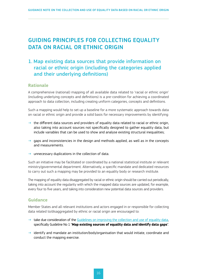# <span id="page-15-0"></span>GUIDING PRINCIPLES FOR COLLECTING EQUALITY DATA ON RACIAL OR ETHNIC ORIGIN

# 1. Map existing data sources that provide information on racial or ethnic origin (including the categories applied and their underlying definitions)

#### **Rationale**

A comprehensive (national) mapping of all available data related to 'racial or ethnic origin' (including underlying concepts and definitions) is a pre-condition for achieving a coordinated approach to data collection, including creating uniform categories, concepts and definitions.

Such a mapping would help to set up a baseline for a more systematic approach towards data on racial or ethnic origin and provide a solid basis for necessary improvements by identifying:

- $\rightarrow$  the different data sources and providers of equality data related to racial or ethnic origin, also taking into account sources not specifically designed to gather equality data, but include variables that can be used to show and analyse existing structural inequalities;
- $\rightarrow$  gaps and inconsistencies in the design and methods applied, as well as in the concepts and measurements.
- $\rightarrow$  unnecessary duplications in the collection of data.

Such an initiative may be facilitated or coordinated by a national statistical institute or relevant ministry/governmental department. Alternatively, a specific mandate and dedicated resources to carry out such a mapping may be provided to an equality body or research institute.

The mapping of equality data disaggregated by racial or ethnic origin should be carried out periodically, taking into account the regularity with which the mapped data sources are updated, for example, every four to five years, and taking into consideration new potential data sources and providers.

#### **Guidance**

Member States and all relevant institutions and actors engaged in or responsible for collecting data related to/disaggregated by ethnic or racial origin are encouraged to:

- $\rightarrow$  take due consideration of the [Guidelines on improving the collection and use of equality data](https://ec.europa.eu/info/sites/default/files/final_guidelines_4-10-18_without_date_july.pdf), specifically Guideline No 1 "**Map existing sources of equality data and identify data gaps**".
- $\rightarrow$  identify and mandate an institution/body/organisation that would initiate, coordinate and conduct the mapping exercise.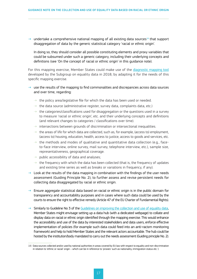$\rightarrow$  undertake a comprehensive national mapping of all existing data sources<sup>18</sup> that support disaggregation of data by the generic statistical category 'racial or ethnic origin'.

In doing so, they should consider all possible constituting elements and proxy variables that could be subsumed under such a generic category, including their underlying concepts and definitions (see 'On the concept of racial or ethnic origin' in this guidance note).

For this mapping exercise, Member States could make use of the [diagnostic mapping tool](https://fra.europa.eu/en/themes/equality-non-discrimination-and-racism/about-compendium#diagnostic-tool) developed by the Subgroup on equality data in 2018, by adapting it for the needs of this specific mapping exercise.

#### $\rightarrow$  use the results of the mapping to find commonalities and discrepancies across data sources and over time, regarding:

- $\rightarrow$  the policy area/legislative file for which the data has been used or needed.
- ⇢ the data source (administrative register, survey data, complaints data, etc.)
- $\rightarrow$  the categories/classifications used for disaggregation or the questions used in a survey to measure 'racial or ethnic origin', etc. and their underlying concepts and definitions (and relevant changes to categories / classifications over time).
- ⇢ intersections between grounds of discrimination or intersectional inequalities.
- ⇢ the areas of life for which data are collected, such as, for example, (access to) employment, (access to) housing, education, health, access to justice, access to goods and services, etc.
- → the methods and modes of qualitative and quantitative data collection (e.g., faceto-face interview, online survey, mail survey, telephone interview, etc.), sample size, representativeness, geographical coverage.
- ⇢ public accessibility of data and analyses;
- $\rightarrow$  the frequency with which the data has been collected (that is, the frequency of updates and existing time series as well as breaks or variations in frequency, if any).
- $\rightarrow$  Look at the results of the data mapping in combination with the findings of the user needs assessment (Guiding Principle No. 2), to further assess and revise persistent needs for collecting data disaggregated by racial or ethnic origin.
- $\rightarrow$  Ensure aggregate statistical data based on racial or ethnic origin is in the public domain for transparency and accountability purposes and in cases where such data could be used by the courts to ensure the right to effective remedy (Article 47 of the EU Charter of Fundamental Rights).
- $\rightarrow$  Similarly to Guideline No 3 of the [Guidelines on improving the collection and use of equality data](https://ec.europa.eu/info/sites/default/files/final_guidelines_4-10-18_without_date_july.pdf), Member States might envisage setting up a data hub (with a dedicated webpage) to collate and display data on racial or ethnic origin identified through the mapping exercise. This would enhance the accessibility and use of the data by interested stakeholders and data users, enforce effective implementation of policies (for example such data could feed into an anti-racism monitoring framework) and help to hold Member States and the relevant actors accountable. The hub could be hosted by the institution/body mandated to carry out the needs assessment (Guiding principle No. 2).

<sup>18/</sup> Data sources collected and/or used by national authorities in areas covered by EU law with respect to equality and non-discrimination in relation to 'ethnic or racial' origin – which can be in reference to 'proxies' such as nationality, immigration status etc.'.)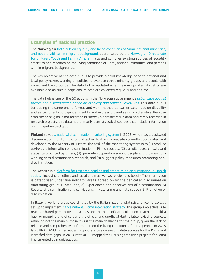#### <span id="page-17-0"></span>**Examples of national practice**

The **Norwegian** [Data hub on equality and living conditions of Sami, national minorities,](https://bufdir.no/Statistikk_og_analyse/Etnisitet/)  [and people with an immigrant background](https://bufdir.no/Statistikk_og_analyse/Etnisitet/), coordinated by the [Norwegian Directorate](https://bufdir.no/)  [for Children, Youth and Family Affairs,](https://bufdir.no/) maps and compiles existing sources of equality statistics and research on the living conditions of Sami, national minorities, and persons with immigrant backgrounds.

The key objective of the data hub is to provide a solid knowledge base to national and local policymakers working on policies relevant to ethnic minority groups and people with immigrant backgrounds. The data hub is updated when new or updated statistics are available and as such it helps ensure data are collected regularly and on time.

The data hub is one of the 50 actions in the Norwegian government's *[action plan against](https://www.regjeringen.no/no/dokumenter/regjeringens-handlingsplan-mot-rasisme-og-diskriminering-pa-grunn-av-etnisitet-og-religion-2020--2023/id2681929/)  [racism and discrimination based on ethnicity and religion \(2020-23\)](https://www.regjeringen.no/no/dokumenter/regjeringens-handlingsplan-mot-rasisme-og-diskriminering-pa-grunn-av-etnisitet-og-religion-2020--2023/id2681929/).* This data hub is built using the same online format and work method as earlier data hubs on disability and sexual orientation, gender identity and expression, and sex characteristics. Because ethnicity or religion is not recorded in Norway's administrative data and rarely recorded in research projects, this data hub primarily uses statistical sources that include information on immigration background.

**Finland** set-up [a national discrimination monitoring system](https://yhdenvertaisuus.fi/en/dataondiscrimination.fi) in 2008, which has a dedicated discrimination monitoring group attached to it and a website currently coordinated and developed by the Ministry of Justice. The task of the monitoring system is to (1) produce up-to-date information on discrimination in Finnish society, (2) compile research data and statistics produced by others, (3) promote cooperation among people and organisations working with discrimination research, and (4) suggest policy measures promoting nondiscrimination.

The website is a [platform for research, studies and statistics on discrimination in Finnish](https://yhdenvertaisuus.fi/en/dataondiscrimination.fi)  [society](https://yhdenvertaisuus.fi/en/dataondiscrimination.fi) (including on ethnic and racial origin as well as religion and belief). The information is categorised under five indicator areas agreed on by the dedicated discrimination monitoring group: 1) Attitudes, 2) Experiences and observations of discrimination, 3) Reports of discrimination and convictions, 4) Hate crime and hate speech, 5) Promotion of discrimination.

In **Italy**, a working group coordinated by the Italian national statistical office (Istat) was set up to implement [Italy's national Roma integration strategy.](https://ec.europa.eu/info/sites/default/files/italy_national_strategy_roma_inclusion_en.pdf) The group's objective is to reach a shared perspective on scopes and methods of data collection. It aims to build a hub for mapping and circulating the official and unofficial (but reliable) existing sources. Although not the main purpose, this is the main challenge for the group, given the lack of reliable and comprehensive information on the living conditions of Roma people. In 2015 Istat-UNAR-ANCI carried out a mapping exercise on existing data sources for the Roma and identified data gaps. In 2019 Istat-UNAR mapped the Housing transition projects for Roma implemented by municipalities.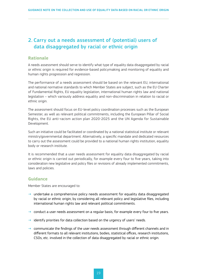# <span id="page-18-0"></span>2. Carry out a needs assessment of (potential) users of data disaggregated by racial or ethnic origin

#### **Rationale**

A needs assessment should serve to identify what type of equality data disaggregated by racial or ethnic origin is required for evidence-based policymaking and monitoring of equality and human rights progression and regression.

The performance of a needs assessment should be based on the relevant EU, international and national normative standards to which Member States are subject, such as the EU Charter of Fundamental Rights, EU equality legislation, international human rights law and national legislation – which variously address equality and non-discrimination in relation to racial or ethnic origin.

The assessment should focus on EU-level policy coordination processes such as the European Semester, as well as relevant political commitments, including the European Pillar of Social Rights, the EU anti-racism action plan 2020-2025 and the UN Agenda for Sustainable Development.

Such an initiative could be facilitated or coordinated by a national statistical institute or relevant ministry/governmental department. Alternatively, a specific mandate and dedicated resources to carry out the assessment could be provided to a national human rights institution, equality body or research institute.

It is recommended that a user needs assessment for equality data disaggregated by racial or ethnic origin is carried out periodically, for example every four to five years, taking into consideration new legislative and policy files or revisions of already implemented commitments, laws and policies.

#### **Guidance**

Member States are encouraged to:

- $\rightarrow$  undertake a comprehensive policy needs assessment for equality data disaggregated by racial or ethnic origin, by considering all relevant policy and legislative files, including international human rights law and relevant political commitments.
- $\rightarrow$  conduct a user needs assessment on a regular basis, for example every four to five years.
- $\rightarrow$  identify priorities for data collection based on the urgency of users' needs.
- $\rightarrow$  communicate the findings of the user needs assessment through different channels and in different formats to all relevant institutions, bodies, statistical offices, research institutions, CSOs, etc. involved in the collection of data disaggregated by racial or ethnic origin.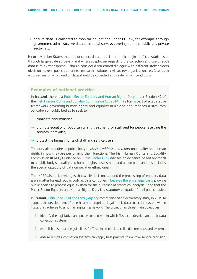<span id="page-19-0"></span> $\rightarrow$  ensure data is collected to monitor obligations under EU law, for example through government administrative data or national surveys covering both the public and private sector, etc.

**Note** – Member States that do not collect data on racial or ethnic origin in official statistics or through large-scale surveys – and where scepticism regarding the collection and use of such data is fairly widespread – should consider a structured dialogue with different stakeholders (decision makers, public authorities, research institutes, civil society organisations, etc.), to reach a consensus on what kind of data should be collected and under which conditions.

#### **Examples of national practice**

In **Ireland**, there is a [Public Sector Equality and Human Rights Duty](https://www.ihrec.ie/app/uploads/2019/03/IHREC_Public_Sector_Duty_Final_Eng_WEB.pdf) under Section 42 of the [Irish Human Rights and Equality Commission Act 2014.](http://www.irishstatutebook.ie/eli/2014/act/25/enacted/en/html) This forms part of a legislative framework governing human rights and equality in Ireland and imposes a statutory obligation on public bodies to seek to:

- $\rightarrow$  eliminate discrimination:
- $\rightarrow$  promote equality of opportunity and treatment for staff and for people receiving the services it provides;
- $\rightarrow$  protect the human rights of staff and service users.

The duty also requires a public body to *assess*, *address* and *report* on equality and human rights in how they are performing their functions. The Irish Human Rights and Equality Commission (IHREC) Guidance on [Public Sector Duty](https://www.ihrec.ie/our-work/public-sector-duty/) advises an evidence-based approach to a public body's equality and human rights assessment and action plan, and this includes the special category of data on racial or ethnic origin.

The IHREC also acknowledges that while decisions around the processing of equality data are a matter for each public body as data controller, it [believes there is a legal basis](https://www.ihrec.ie/our-work/public-sector-duty/faqs-on-the-duty/) allowing public bodies to process equality data for the purposes of statistical analysis - and that the Public Sector Equality and Human Rights Duty is a statutory obligation for all public bodies.

In **Ireland**, Tusla [– the Child and Family Agency](https://www.tusla.ie/uploads/content/Ethic-Data-Final-Report-2_230819.pdf) commissioned an exploratory study in 2019 to support the development of an ethically appropriate, legal ethnic data collection system within Tusla that adheres to a human rights framework. The project has three main objectives:

- 1. identify the legislative and policy context within which Tusla can develop an ethnic data collection system.
- 2. establish best practice guidelines for Tusla in ethnic data collection methods and systems.
- 3. ensure Tusla's information systems can apply best practice to improve service provision.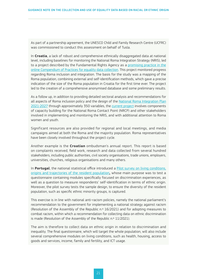As part of a partnership agreement, the UNESCO Child and Family Research Centre (UCFRC) was commissioned to conduct this assessment on behalf of Tusla.

In **Croatia**, a lack of robust and comprehensive ethnically disaggregated data at national level, including baselines for monitoring the National Roma Integration Strategy (NRIS), led to a project described by the Fundamental Rights Agency as a [promising practice in the](https://fra.europa.eu/en/promising-practices/roma-inclusion-croatian-society-baseline-data-study)  [online Compendium of Practices for equality data collection](https://fra.europa.eu/en/promising-practices/roma-inclusion-croatian-society-baseline-data-study). This project monitored progress regarding Roma inclusion and integration. The basis for the study was a mapping of the Roma population, combining external and self-identification methods, which gave a precise indication of the size of the Roma population in Croatia for the first time ever. The project led to the creation of a comprehensive anonymised database and some preliminary results.

As a follow up, in addition to providing detailed sectoral analysis and recommendations for all aspects of Roma inclusion policy and the design of the National Roma Integration Plan [2021-2027](https://pravamanjina.gov.hr/?id=973&pregled=1&datum=Thu Dec 03 2020 11:59:06 GMT+0100 (srednjoeuropsko standardno vrijeme)) through approximately 350 variables, the [current project](https://ukljucivanje-roma.com/) involves components of capacity building for the National Roma Contact Point (NRCP) and other stakeholders involved in implementing and monitoring the NRIS, and with additional attention to Roma women and youth.

Significant resources are also provided for regional and local meetings, and media campaigns aimed at both the Roma and the majority population. Roma representatives have been closely involved throughout the project cycle.

Another example is the **Croatian** ombudsman's annual report. This report is based on complaints received, field work, research and data collected from several hundred stakeholders, including public authorities, civil society organisations, trade unions, employers, universities, churches, religious organisations and many others.

In **Portugal**, the national statistical office introduced a **Pilot survey on living conditions**, [origins and trajectories of the resident population](https://dre.pt/home/-/dre/152531827/details/maximized)**,** whose main purpose was to test a questionnaire containing modules specifically focused on discrimination experiences, as well as a question to measure respondents' self-identification in terms of ethnic origin. Moreover, the pilot survey tests the sample design, to ensure the diversity of the resident population, such as specific ethnic minority groups, is captured.

This exercise is in line with national anti-racism policies, namely the national parliament's recommendation to the government for implementing a national strategy against racism (Resolution of the Assembly of the Republic n.º 16/2021) and for adopting measures to combat racism, within which a recommendation for collecting data on ethnic discrimination is made (Resolution of the Assembly of the Republic n.º 11/2021).

The aim is therefore to collect data on ethnic origin in relation to discrimination and inequality. The final questionnaire, which will target the whole population, will also include several comprehensive modules on living conditions, such as health, housing, access to goods and services, income, family and fertility, and ICT usage.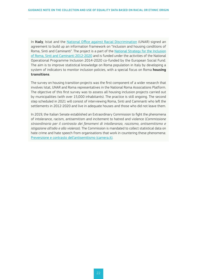In **Italy**, Istat and the [National Office against Racial Discrimination](https://equineteurope.org/author/italy_unar/) (UNAR) signed an agreement to build up an information framework on "Inclusion and housing conditions of Roma, Sinti and Caminanti". The project is a part of the [National Strategy for the Inclusion](https://unar.it/portale/documents/20125/51449/italy_national_strategy_roma_inclusion_en.pdf/)  [of Roma, Sinti and Caminanti 2012-2020](http://www.unar.it/cosa-facciamo/national-strategies/rsc-strategy/?lang=en) and is funded under the activities of the National Operational Programme Inclusion 2014-2020 co-funded by the European Social Fund. The aim is to improve statistical knowledge on Roma population in Italy by developing a system of indicators to monitor inclusion policies, with a special focus on Roma **housing transitions**.

The survey on housing transition projects was the first component of a wider research that involves Istat, UNAR and Roma representatives in the National Roma Associations Platform. The objective of this first survey was to assess all housing inclusion projects carried out by municipalities (with over 15,000 inhabitants). The practice is still ongoing. The second step scheduled in 2021 will consist of interviewing Roma, Sinti and Caminanti who left the settlements in 2012-2020 and live in adequate houses and those who did not leave them.

In 2019, the Italian Senate established an Extraordinary Commission to fight the phenomena of intolerance, racism, antisemitism and incitement to hatred and violence (*Commissione straordinaria per il contrasto dei fenomeni di intolleranza, razzismo, antisemitismo e istigazione all'odio e alla violenza*). The Commission is mandated to collect statistical data on hate crime and hate speech from organisations that work in countering these phenomena: [Prevenzione e contrasto dell'antisemitismo \(camera.it\)](https://temi.camera.it/leg18/temi/prevenzione-e-contrasto-dell-antisemitismo.html).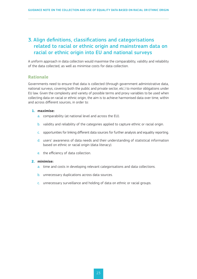# <span id="page-22-0"></span>3. Align definitions, classifications and categorisations related to racial or ethnic origin and mainstream data on racial or ethnic origin into EU and national surveys

A uniform approach in data collection would maximise the comparability, validity and reliability of the data collected, as well as minimise costs for data collection.

#### **Rationale**

Governments need to ensure that data is collected (through government administrative data, national surveys, covering both the public and private sector, etc.) to monitor obligations under EU law. Given the complexity and variety of possible terms and proxy variables to be used when collecting data on racial or ethnic origin, the aim is to achieve harmonised data over time, within and across different sources, in order to:

#### **1. maximise:**

- a. comparability (at national level and across the EU).
- b. validity and reliability of the categories applied to capture ethnic or racial origin.
- c. opportunities for linking different data sources for further analysis and equality reporting.
- d. users' awareness of data needs and their understanding of statistical information based on ethnic or racial origin (data literacy).
- e. the efficiency of data collection.

#### **2. minimise:**

- a. time and costs in developing relevant categorisations and data collections.
- b. unnecessary duplications across data sources.
- c. unnecessary surveillance and holding of data on ethnic or racial groups.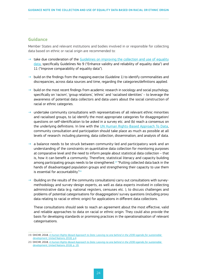#### <span id="page-23-0"></span>**Guidance**

Member States and relevant institutions and bodies involved in or responsible for collecting data based on ethnic or racial origin are recommended to:

- $\rightarrow$  take due consideration of the [Guidelines on improving the collection and use of equality](https://ec.europa.eu/info/sites/default/files/final_guidelines_4-10-18_without_date_july.pdf) [data](https://ec.europa.eu/info/sites/default/files/final_guidelines_4-10-18_without_date_july.pdf), specifically Guidelines No 9 ("Enhance validity and reliability of equality data") and 11 ("Improve comparability of equality data").
- $\rightarrow$  build on the findings from the mapping exercise (Guideline 1) to identify commonalities and discrepancies, across data sources and time, regarding the categories/definitions applied.
- $\rightarrow$  build on the most recent findings from academic research in sociology and social psychology, specifically on 'racism', 'group relations', 'ethnic' and 'racialised identities' – to leverage the awareness of potential data collectors and data users about the social construction of racial or ethnic categories.
- $\rightarrow$  undertake community consultations with representatives of all relevant ethnic minorities and racialised groups, to (a) identify the most appropriate categories for disaggregation/ questions on self-identification to be asked in a survey etc. and (b) reach a consensus on the underlying definitions. In line with the [UN Human Rights-Based Approach To Data](https://www.ohchr.org/Documents/Issues/HRIndicators/GuidanceNoteonApproachtoData.pdf), community consultation and participation should take place as much as possible at all levels of research: including planning, data collection, dissemination, and analysis of data.
- $\rightarrow$  a balance needs to be struck between community-led and participatory work and an understanding of the constraints on quantitative data collection for monitoring purposes at comparative level and the need to inform people about statistical data collection – that is, how it can benefit a community. Therefore, statistical literacy and capacity building among participating groups needs to be strengthened.19 "Putting collected data back in the hands of disadvantaged population groups and strengthening their capacity to use them is essential for accountability."<sup>20</sup>
- $\rightarrow$  (building on the results of the community consultations) carry out consultations with surveymethodology and survey-design experts, as well as data experts involved in collecting administrative data (e.g. national registers, censuses etc. ), to discuss challenges and problems of potential categorisations for disaggregation/ survey questions (including proxy data relating to racial or ethnic origin) for applications in different data collections.

These consultations should seek to reach an agreement about the most effective, valid and reliable approaches to data on racial or ethnic origin. They could also provide the basis for developing standards or promising practices in the operationalisation of relevant categorisations.

<sup>19/</sup> OHCHR, 2018, *[A Human Rights-Based Approach to Data: Leaving no one behind in the 2030](https://www.ohchr.org/Documents/Issues/HRIndicators/GuidanceNoteonApproachtoData.pdf) agenda for sustainable [development](https://www.ohchr.org/Documents/Issues/HRIndicators/GuidanceNoteonApproachtoData.pdf)*, United Nations 2018, p.4

<sup>20/</sup> OHCHR, 2018, *[A Human Rights-Based Approach to Data: Leaving no one behind in the 2030](https://www.ohchr.org/Documents/Issues/HRIndicators/GuidanceNoteonApproachtoData.pdf) agenda for sustainable [development](https://www.ohchr.org/Documents/Issues/HRIndicators/GuidanceNoteonApproachtoData.pdf)*, United Nations 2018, p. 19.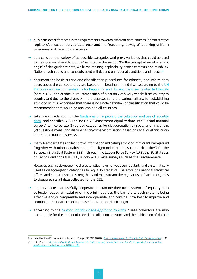- $\rightarrow$  duly consider differences in the requirements towards different data sources (administrative registers/censuses/ survey data etc.) and the feasibility/leeway of applying uniform categories in different data sources.
- $\rightarrow$  duly consider the variety of all possible categories and proxy variables that could be used to measure 'racial or ethnic origin', as listed in the section 'On the concept of racial or ethnic origin' of this guidance note, while maintaining applicability across contexts and reliability. National definitions and concepts used will depend on national conditions and needs.<sup>21</sup>
- $\rightarrow$  document the basic criteria and classification procedures for ethnicity and inform data users about the concepts they are based on  $-$  bearing in mind that, according to the  $UN$ </u> [Principles and Recommendations for Population and Housing Censuses related to Ethnicity](https://unstats.un.org/unsd/demographic-social/Standards-and-Methods/files/Principles_and_Recommendations/Population-and-Housing-Censuses/Series_M67rev3-E.pdf) (para 4.187), the ethnocultural composition of a country can vary widely from country to country and due to the diversity in the approach and the various criteria for establishing ethnicity, so it is recognised that there is no single definition or classification that could be recommended that would be applicable to all countries.
- $\rightarrow$  take due consideration of the [Guidelines on improving the collection and use of equality](https://ec.europa.eu/info/sites/default/files/final_guidelines_4-10-18_without_date_july.pdf) [data](https://ec.europa.eu/info/sites/default/files/final_guidelines_4-10-18_without_date_july.pdf), and specifically Guideline No 7 "Mainstream equality data into EU and national surveys" to incorporate (1) agreed categories for disaggregation by racial or ethnic origin; (2) questions measuring discrimination/crime victimisation based on racial or ethnic origin into EU and national surveys.
- $\rightarrow$  many Member States collect proxy information indicating ethnic or immigrant background (together with other equality-related background variables such as 'disability') for the European Statistical System (ESS) – through the Labour Force Survey (LFS), the EU Statistics on Living Conditions (EU-SILC) survey or EU-wide surveys such as the Eurobarometer.

However, such socio-economic characteristics have not yet been regularly and systematically used as disaggregation categories for equality statistics. Therefore, the national statistical offices and Eurostat should strengthen and mainstream the regular use of such categories to disaggregate all data collected for the ESS.

- $\rightarrow$  equality bodies can usefully cooperate to examine their own systems of equality data collection based on racial or ethnic origin, address the barriers to such systems being effective and/or comparable and interoperable, and consider how best to improve and coordinate their data collection based on racial or ethnic origin.
- → according to the *[Human Rights-Based Approach to Data,](https://www.ohchr.org/Documents/Issues/HRIndicators/GuidanceNoteonApproachtoData.pdf) "*Data collectors are also accountable for the impact of their data collection activities and the publication of data."<sup>22</sup>

<sup>21/</sup> United Nations Economic Commission for Europe (UNECE) (2020), *Poverty Measurement [– Guide to Data Disaggregation](https://unece.org/sites/default/files/2021-01/ECECESSTAT20204.pdf),* p. 33.

<sup>22/</sup> OHCHR, 2018, *[A Human Rights-Based Approach to Data: Leaving no one behind in the 2030](https://www.ohchr.org/Documents/Issues/HRIndicators/GuidanceNoteonApproachtoData.pdf) agenda for sustainable [development](https://www.ohchr.org/Documents/Issues/HRIndicators/GuidanceNoteonApproachtoData.pdf)*, United Nations 2018, p. 19.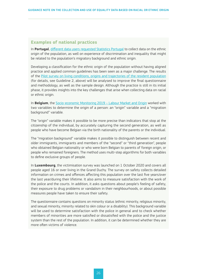#### <span id="page-25-0"></span>**Examples of national practices**

In **Portugal**, [different data users requested Statistics Portugal](https://dre.pt/home/-/dre/152531827/details/maximized) to collect data on the ethnic origin of the population, as well on experience of discrimination and inequality that might be related to the population's migratory background and ethnic origin.

Developing a classification for the ethnic origin of the population without having aligned practice and applied common guidelines has been seen as a major challenge. The results of the [Pilot survey on living conditions, origins and trajectories of the resident population](https://dre.pt/home/-/dre/152531827/details/maximized) (for details, see Guideline 2, above) will be analysed to improve the final questionnaire and methodology, as well as the sample design. Although the practice is still in its initial phase, it provides insights into the key challenges that arise when collecting data on racial or ethnic origin.

In **Belgium**, the [Socio-economic Monitoring 2019](https://www.unia.be/files/Documenten/Publicaties_docs/UNIA_Monitoring_2019_-_ENG_-_AS.pdf) – Labour Market and Origin worked with two variables to determine the origin of a person: an "origin" variable and a "migration background" variable.

The "origin" variable makes it possible to be more precise than indicators that stop at the citizenship of the individual, by accurately capturing the second generation, as well as people who have become Belgian via the birth nationality of the parents or the individual.

The "migration background" variable makes it possible to distinguish between recent and older immigrants, immigrants and members of the "second" or "third generation", people who obtained Belgian nationality or who were born Belgian to parents of foreign origin, or people who remained foreigners. The method uses multi-step algorithms for both variables to define exclusive groups of people.

In **Luxembourg**, the victimisation survey was launched on 1 October 2020 and covers all people aged 16 or over living in the Grand Duchy. The survey on safety collects detailed information on crimes and offences affecting this population over the last five years/over the last year/during their lifetime. It also aims to measure satisfaction with the work of the police and the courts. In addition, it asks questions about people's feeling of safety, their exposure to drug problems or vandalism in their neighbourhoods, or about possible measures people have taken to ensure their safety.

The questionnaire contains questions on minority status (ethnic minority, religious minority, and sexual minority, minority related to skin colour or a disability). This background variable will be used to determine satisfaction with the police in general and to check whether members of minorities are more satisfied or dissatisfied with the police and the justice system than the rest of the population. In addition, it can be determined whether they are more often victims of violence.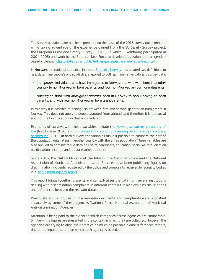The survey questionnaire has been prepared on the basis of the 2013 survey questionnaire, while taking advantage of the experience gained from the EU Safety Survey project, the European Crime and Safety Survey (EU-ICS) (in which Luxembourg participated in 2004/2005) and work by the Eurostat Task Force to develop a questionnaire on genderbased violence. <https://statistiques.public.lu/fr/enquetes/espace-menages/securite/>

In **Norway,** the national statistical institute, [Statistics Norway](https://www.ssb.no/en/innvandring-og-innvandrere), has created two definitions to help determine people's origin, which are applied to both administrative data and survey data:

- → *Immigrants*: individuals who have immigrated to Norway, and who were born in another country to non-Norwegian born parents, and four non-Norwegian-born grandparents
- → *Norwegian-born with immigrant parents*: born in Norway to non-Norwegian-born parents, and with four non-Norwegian born grandparents.

In this way it is possible to distinguish between first and second-generation immigrants in Norway. This does not apply to people adopted from abroad, and therefore it is the social and not the biological origin that is considered.

Examples of surveys with these variables include the [Norwegian survey on quality of](https://www.ssb.no/sosiale-forhold-og-kriminalitet/artikler-og-publikasjoner/livskvalitet-i-norge-2020)  [life](https://www.ssb.no/sosiale-forhold-og-kriminalitet/artikler-og-publikasjoner/livskvalitet-i-norge-2020) (first time in 2020) and Survey on living conditions among persons with immigrant background (2016). In both surveys the variables make it possible to compare the part of the population originating in another country with the entire population. These variables are also applied to administrative data on use of healthcare, education, social welfare, election participation, income, and labour market statistics.

Since 2016, the **Dutch** Ministry of the Interior, the National Police and the National Association of Municipal Anti-discrimination Services have been publishing figures on discrimination incidents registered by the police and complaints received by equality bodies in a [single multi-agency report.](https://fra.europa.eu/en/promising-practices/multi-agency-report-discrimination-incidents-and-complaints-2017)

This report brings together, presents and contextualises the data from several institutions dealing with discrimination complaints in different contexts. It also explains the relations and differences between the relevant datasets.

Previously, annual figures on discrimination incidents and complaints were published separately by some of these agencies (National Police, National Association of Municipal Anti-discrimination Agencies).

Attention is being paid to the extent to which categories across agencies are comparable. Similarly, the figures are presented in the context in which they are collected. However, the agencies are trying to align their practice as much as possible. Some differences remain, due to the legal structure on which each agency is based.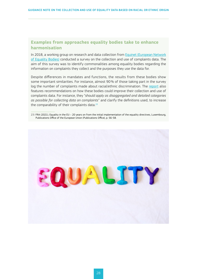#### <span id="page-27-0"></span>**Examples from approaches equality bodies take to enhance harmonisation**

In 2018, a working group on research and data collection from [Equinet \(European Network](https://equineteurope.org/)  [of Equality Bodies\)](https://equineteurope.org/) conducted a survey on the collection and use of complaints data. The aim of this survey was to identify commonalities among equality bodies regarding the information on complaints they collect and the purposes they use the data for.

Despite differences in mandates and functions, the results from these bodies show some important similarities. For instance, almost 90% of those taking part in the survey log the number of complaints made about racial/ethnic discrimination. The [report](https://equineteurope.org/wp-content/uploads/2021/07/Collection-and-use-of-complaints-data.pdf) also features recommendations on how these bodies could improve their collection and use of complaints data. For instance, they "*should apply as disaggregated and detailed categories as possible for collecting data on complaints*" and clarify the definitions used, to increase the comparability of their complaints data.<sup>23</sup>

23/ FRA (2021), Equality in the EU – 20 years on from the initial implementation of the equality directives, Luxembourg, Publications Office of the European Union (Publications Office), p. 56-58.

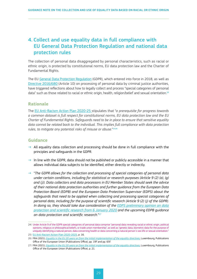# <span id="page-28-0"></span>4. Collect and use equality data in full compliance with EU General Data Protection Regulation and national data protection rules

The collection of personal data disaggregated by personal characteristics, such as racial or ethnic origin, is protected by constitutional norms, EU data protection law and the Charter of Fundamental Rights.

The EU [General Data Protection Regulation](https://eur-lex.europa.eu/eli/reg/2016/679/oj) (GDPR), which entered into force in 2018, as well as [Directive 2016/680](https://eur-lex.europa.eu/legal-content/EN/TXT/?uri=celex%3A32016L0680) (Article 10) on processing of personal data by criminal justice authorities, have triggered reflections about how to legally collect and process "special categories of personal data" such as those related to racial or ethnic origin, health, religion/belief and sexual orientation.<sup>24</sup>

#### **Rationale**

The [EU Anti-Racism Action Plan 2020-25](https://ec.europa.eu/info/sites/default/files/a_union_of_equality_eu_action_plan_against_racism_2020_-2025_en.pdf) stipulates that "*a prerequisite for progress towards a common dataset is full respect for constitutional norms, EU data protection law and the EU Charter of Fundamental Rights. Safeguards need to be in place to ensure that sensitive equality*  data cannot be related back to the individual. This implies full compliance with data protection rules, to mitigate any potential risks of misuse or abuse."<sup>2526</sup>

#### **Guidance**

- $\rightarrow$  All equality data collection and processing should be done in full compliance with the principles and safeguards in the GDPR.
- $\rightarrow$  In line with the GDPR, data should not be published or publicly accessible in a manner that allows individual data subjects to be identified, either directly or indirectly.
- → "*The GDPR allows for the collection and processing of special categories of personal data under certain conditions, including for statistical or research purposes (Article 9 (2) (a), (g) and (j)). Data collectors and data processors in EU Member States should seek the advice of their national data protection authorities and further guidance from the European Data Protection Board (EDPB) and the European Data Protection Supervisor (EDPS) about the safeguards that need to be applied when collecting and processing special categories of personal data, including for the purpose of scientific research (Article 9 (2) (j) of the GDPR). In doing so, they should take due consideration of the [EDPS preliminary opinion on data](https://edps.europa.eu/sites/edp/files/publication/20-01-06_opinion_research_en.pdf) [protection and scientific research from 6](https://edps.europa.eu/sites/edp/files/publication/20-01-06_opinion_research_en.pdf) January 2020 and the upcoming EDPB guidance on data protection and scientific research.*"27

<sup>24/</sup> Under Article 9 of the GDPR special categories of personal data comprise "personal data revealing racial or ethnic origin, political opinions, religious or philosophical beliefs, or trade union membership", as well as "genetic data, biometric data for the purpose of uniquely identifying a natural person, data concerning health or data concerning a natural person´s sex life or sexual orientation." 25/ [EU Anti-Racism Action Plan 2020-2025](https://ec.europa.eu/info/sites/default/files/a_union_of_equality_eu_action_plan_against_racism_2020_-2025_en.pdf), p. 16.

<sup>26/</sup> FRA (2021), *Equality in the EU 20 [years on from the initial implementation of the equality directives](https://fra.europa.eu/en/publication/2021/fra-opinion-eu-equality-20-years)*, Luxembourg, Publications Office of the European Union (Publications Office), pp. 19f and pp. 65f.

<sup>27/</sup> FRA (2021), *Equality in the EU 20 [years on from the initial implementation of the equality directives](https://fra.europa.eu/en/publication/2021/fra-opinion-eu-equality-20-years)*, Luxembourg, Publications Office of the European Union (Publications Office), p. 21.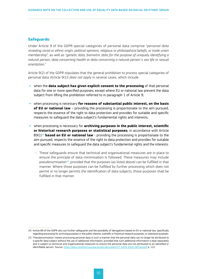#### **Safeguards:**

Under Article 9 of the GDPR special categories of personal data comprise "*personal data revealing racial or ethnic origin, political opinions, religious or philosophical beliefs, or trade union membership",* as well as *"genetic data, biometric data for the purpose of uniquely identifying a natural person, data concerning health or data concerning a natural person´s sex life or sexual orientation.*"

Article 9(2) of the GDPR stipulates that the general prohibition to process special categories of personal data (Article 9(1)) *does not apply* in several cases, which include:

- → when the **data subject has given explicit consent to the processing** of that personal data for one or more specified purposes, except where EU or national law prevent the data subject from lifting the prohibition referred to in paragraph 1 of Article 9;
- → when processing is necessary **for reasons of substantial public interest, on the basis of EU or national law** – providing the processing is proportionate to the aim pursued, respects the essence of the right to data protection and provides for suitable and specific measures to safeguard the data subject's fundamental rights and interests;
- → when processing is necessary for **archiving purposes in the public interest, scientific or historical research purposes or statistical purposes**, in accordance with Article 89(1)<sup>28</sup> based on EU or national law - providing the processing is proportionate to the aim pursued, respects the essence of the right to data protection and provides for suitable and specific measures to safeguard the data subject's fundamental rights and the interests.
	- ⇢ These safeguards ensure that technical and organisational measures are in place to ensure the principle of data minimisation is followed. These measures may include pseudonymisation29, provided that the purposes (as listed above) can be fulfilled in that manner. Where those purposes can be fulfilled by further processing which does not permit or no longer permits the identification of data subjects, those purposes shall be fulfilled in that manner.

<sup>28/</sup> Article 89 of the GDPR sets out further safeguards and the possibility of derogations based on EU or national law, specifically regarding processing for archiving purposes in the public interest; scientific or historical research purposes; or statistical purposes.

<sup>29/</sup> 'Pseudonymisation' means processing personal data in such a manner that the personal data can no longer be attributed to a specific data subject without the use of additional information, provided that such additional information is kept separately and is subject to technical and organisational measures to ensure the personal data are not attributed to an identified or identifiable person. Source: <https://data.consilium.europa.eu/doc/document/ST-5419-2016-INIT/en/pdf>p. 112.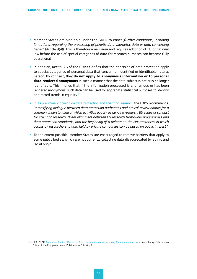- → Member States are also able under the GDPR to enact '*further conditions, including limitations, regarding the processing of genetic data, biometric data or data concerning health*' (Article 9(4)). This is therefore a new area and requires adoption of EU or national law before the use of special categories of data for research purposes can become fully operational.
- $\rightarrow$  In addition, Recital 26 of the GDPR clarifies that the principles of data protection apply to special categories of personal data that concern an identified or identifiable natural person. By contrast, they **do not apply to anonymous information or to personal data rendered anonymous** in such a manner that the data subject is not or is no longer identifiable. This implies that if the information processed is anonymous or has been rendered anonymous, such data can be used for aggregate statistical purposes to identify and record trends in equality.<sup>30</sup>
- $\rightarrow$  In [its preliminary opinion on data protection and scientific research,](https://edps.europa.eu/sites/edp/files/publication/20-01-06_opinion_research_en.pdf) the EDPS recommends: "*intensifying dialogue between data protection authorities and ethical review boards for a common understanding of which activities qualify as genuine research, EU codes of conduct for scientific research, closer alignment between EU research framework programmes and data protection standards, and the beginning of a debate on the circumstances in which access by researchers to data held by private companies can be based on public interest.*"
- $\rightarrow$  To the extent possible, Member States are encouraged to remove barriers that apply to some public bodies, which are not currently collecting data disaggregated by ethnic and racial origin.

<sup>30/</sup> FRA (2021), *Equality in the EU 20 [years on from the initial implementation of the equality directives](https://fra.europa.eu/sites/default/files/fra_uploads/fra-2021-opinion-equality-directives-01-2021_en.pdf)*, Luxembourg, Publications Office of the European Union (Publications Office), p.21.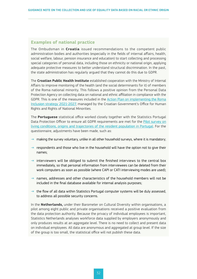#### <span id="page-31-0"></span>**Examples of national practice**

The Ombudsman in **Croatia** issued recommendations to the competent public administration bodies and authorities (especially in the fields of internal affairs, health, social welfare, labour, pension insurance and education) to start collecting and processing special categories of personal data, including those on ethnicity or national origin, applying adequate protective measures to better understand structural discrimination. In the past, the state administration has regularly argued that they cannot do this due to GDPR.

The **Croatian Public Health Institute** established cooperation with the Ministry of Internal Affairs to improve monitoring of the health (and the social determinants for it) of members of the Roma national minority. This follows a positive opinion from the Personal Data Protection Agency on collecting data on national and ethnic affiliation in compliance with the GDPR. This is one of the measures included in the [Action Plan on implementing the Roma](https://pravamanjina.gov.hr/?id=973&pregled=1&datum=Thu Dec 03 2020 11:59:06 GMT+0100 (srednjoeuropsko standardno vrijeme))  [Inclusion strategy 2021-2027,](https://pravamanjina.gov.hr/?id=973&pregled=1&datum=Thu Dec 03 2020 11:59:06 GMT+0100 (srednjoeuropsko standardno vrijeme)) managed by the Croatian Government's Office for Human Rights and Rights of National Minorities.

The **Portuguese** statistical office worked closely together with the Statistics Portugal Data Protection Officer to ensure all GDPR requirements are met for the [Pilot survey on](https://dre.pt/home/-/dre/152531827/details/maximized)  [living conditions, origins and trajectories of the resident population in Portugal](https://dre.pt/home/-/dre/152531827/details/maximized). For the questionnaire, adjustments have been made, such as:

- $\rightarrow$  making the survey voluntary, unlike in all other household surveys, where it is mandatory;
- $\rightarrow$  respondents and those who live in the household will have the option not to give their names;
- $\rightarrow$  interviewers will be obliged to submit the finished interviews to the central box immediately, so that personal information from interviewees can be deleted from their work computers as soon as possible (where CAPI or CATI interviewing modes are used);
- names, addresses and other characteristics of the household members will not be included in the final database available for internal analysis purposes;
- $\rightarrow$  the flow of all data within Statistics Portugal computer systems will be duly assessed, to address all possible security concerns.

In the **Netherlands,** under their Barometer on Cultural Diversity within organisations, a pilot among eight public and private organisations received a positive evaluation from the data protection authority. Because the privacy of individual employees is important, Statistics Netherlands analyses workforce data supplied by employers anonymously and only produces results at an aggregate level. There is no need to collect and present data on individual employees. All data are anonymous and aggregated at group level. If the size of the group is too small, the statistical office will not publish these data.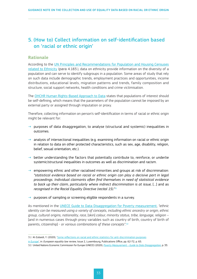# <span id="page-32-0"></span>5. (How to) Collect information on self-identification based on 'racial or ethnic origin'

#### **Rationale**

According to the [UN Principles and Recommendations for Population and Housing Censuses](https://unstats.un.org/unsd/demographic-social/Standards-and-Methods/files/Principles_and_Recommendations/Population-and-Housing-Censuses/Series_M67rev3-E.pdf) [related to Ethnicity](https://unstats.un.org/unsd/demographic-social/Standards-and-Methods/files/Principles_and_Recommendations/Population-and-Housing-Censuses/Series_M67rev3-E.pdf) (para 4.183.), data on ethnicity provide information on the diversity of a population and can serve to identify subgroups in a population. Some areas of study that rely on such data include demographic trends, employment practices and opportunities, income distributions, educational levels, migration patterns and trends, family composition and structure, social support networks, health conditions and crime victimisation.

The OHCHR [Human Rights-Based Approach to Data](https://www.ohchr.org/Documents/Issues/HRIndicators/GuidanceNoteonApproachtoData.pdf) states that populations of interest should be self-defining, which means that the parameters of the population cannot be imposed by an external party or assigned through imputation or proxy.

Therefore, collecting information on person's self-identification in terms of racial or ethnic origin might be relevant for:

- $\rightarrow$  purposes of data disaggregation, to analyse (structural and systemic) inequalities in outcomes.
- $\rightarrow$  analysis of intersectional inequalities (e.g. examining information on racial or ethnic origin in relation to data on other protected characteristics, such as sex, age, disability, religion, belief, sexual orientation, etc.).
- $\rightarrow$  better understanding the factors that potentially contribute to, reinforce, or underlie systemic/structural inequalities in outcomes as well as discrimination and racism.
- $\rightarrow$  empowering ethnic and other racialised minorities and groups at risk of discrimination: *"statistical evidence based on racial or ethnic origin can play a decisive part in legal proceedings. Individual claimants often find themselves in need of statistical evidence*  to back up their claim, particularly where indirect discrimination is at issue, [...] and as *recognised in the Racial Equality Directive (recital 15)."31*
- $\rightarrow$  purposes of sampling or screening eligible respondents in a survey.

As mentioned in the [UNECE Guide to Data Disaggregation for Poverty measurement,](https://unece.org/sites/default/files/2021-01/ECECESSTAT20204.pdf) *"ethnic identity can be measured using a variety of concepts, including ethnic ancestry or origin, ethnic group, cultural origins, nationality, race,* [skin] *colour, minority status, tribe, language, religion* – [and in numerous cases through proxy variables such as country of birth, country of birth of parents, citizenship] - *or various combinations of these concepts"*. 32

<sup>31/</sup> Al-Zubaidi, Y. (2020), '[Some reflections on racial and ethnic statistics for anti-discrimination purposes](https://www.equalitylaw.eu/downloads/5300-european-equality-law-review-2-2020-pdf-1-446-kb)

[in Europe'](https://www.equalitylaw.eu/downloads/5300-european-equality-law-review-2-2020-pdf-1-446-kb), in: *European equality law review*, Issue 2, Luxembourg, Publications Office, pp. 62-72, p. 65.

<sup>32/</sup> United Nations Economic Commission for Europe (UNECE) (2020), *Poverty Measurement [– Guide to Data Disaggregation](https://unece.org/sites/default/files/2021-01/ECECESSTAT20204.pdf)*, p. 33.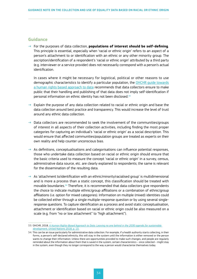#### <span id="page-33-0"></span>**Guidance**

→ For the purposes of data collection, **populations of interest should be self-defining**. This principle is essential, especially when 'racial or ethnic origin' refers to an aspect of a person's attachment to or identification with an ethnic or any other minority group. The ascription/identification of a respondent's 'racial or ethnic origin' attributed by a third party (e.g. interviewer or a service provider) does not necessarily correspond with a person's actual identification.

In cases where it might be necessary for logistical, political or other reasons to use demographic characteristics to identify a particular population, the [OHCHR guide towards](https://www.ohchr.org/Documents/Issues/HRIndicators/GuidanceNoteonApproachtoData.pdf) [a human rights based approach to data](https://www.ohchr.org/Documents/Issues/HRIndicators/GuidanceNoteonApproachtoData.pdf) recommends that data collectors ensure to make public that their handling and publishing of that data does not imply self-identification if personal information on ethnic identity has not been disclosed.33

- Explain the purpose of any data collection related to racial or ethnic origin and base the data collection around best practice and transparency. This would increase the level of trust around any ethnic data collection.
- $\rightarrow$  Data collectors are recommended to seek the involvement of the communities/groups of interest in all aspects of their collection activities, including finding the most proper categories for capturing an individual's 'racial or ethnic origin' as a social description. This would ensure that affected communities/population groups are treated as experts on their own reality and help counter unconscious bias.
- $\rightarrow$  As definitions, conceptualisations and categorisations can influence potential responses, those who undertake data collection based on racial or ethnic origin should ensure that the basic criteria used to measure the concept 'racial or ethnic origin' in a survey, census, administrative data source, etc. are clearly explained to respondents; the same is relevant for the dissemination of the resulting data.
- $\rightarrow$  As 'attachment to/identification with an ethnic/minority/racialised group' is multidimensional and is more a process than a static concept, this classification should be treated with movable boundaries.34 Therefore, it is recommended that data collectors give respondents the choice to indicate multiple ethnic/group affiliations or a combination of ethnic/group affiliations (i.e. option for mixed categories). Information on multiple (mixed) identities could be collected either through a single multiple-response question or by using several singleresponse questions. To capture identification as a process and avoid static conceptualisation, attachment or identification based on racial or ethnic origin could be also measured on a scale (e.g. from "no or low attachment" to "high attachment").

<sup>33/</sup> OHCHR, 2018, *[A Human Rights-Based Approach to Data: Leaving no one behind in the 2030](https://www.ohchr.org/Documents/Issues/HRIndicators/GuidanceNoteonApproachtoData.pdf) agenda for sustainable [development](https://www.ohchr.org/Documents/Issues/HRIndicators/GuidanceNoteonApproachtoData.pdf)*, United Nations 2018, p. 13.

<sup>34/</sup> This can be an issue particularly for administrative data collection. For example, if a health authority starts collecting, in their forms, a person's self-declared ethnicity, this will stay in the system until the information is either removed or the person wants to change their information. Unless there are opportunities provided to make such changes, and people are regularly reminded about the information about them that is saved in the system, certain characteristics – once collected – might stay in the system, even though they no longer correspond to the way a person would characterise themselves today.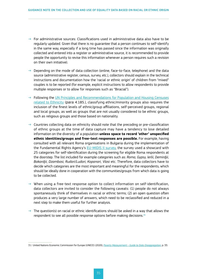- $\rightarrow$  For administrative sources: Classifications used in administrative data also have to be regularly updated. Given that there is no guarantee that a person continues to self-identify in the same way, especially if a long time has passed since the information was originally collected and entered into a register or administrative source, it is recommended to provide people the opportunity to revise this information whenever a person requires such a revision on their own initiative).
- $\rightarrow$  Depending on the mode of data collection (online, face-to-face, telephone) and the data source (administrative register, census, survey, etc.), collectors should explain in the technical instructions and documentation how the 'racial or ethnic origin' of children from "mixed" couples is to be reported (for example, explicit instructions to allow respondents to provide multiple responses or to allow for responses such as "Biracial").
- $\rightarrow$  Following the [UN Principles and Recommendations for Population and Housing Censuses](https://unstats.un.org/unsd/demographic-social/Standards-and-Methods/files/Principles_and_Recommendations/Population-and-Housing-Censuses/Series_M67rev3-E.pdf) [related to Ethnicity](https://unstats.un.org/unsd/demographic-social/Standards-and-Methods/files/Principles_and_Recommendations/Population-and-Housing-Censuses/Series_M67rev3-E.pdf) (para 4.185.), classifying ethnic/minority groups also requires the inclusion of the finest levels of ethnic/group affiliations, self-perceived groups, regional and local groups, as well as groups that are not usually considered to be ethnic groups, such as religious groups and those based on nationality.
- $\rightarrow$  Countries collecting data on ethnicity should note that the precoding or pre-classification of ethnic groups at the time of data capture may have a tendency to lose detailed information on the diversity of a population **unless space to record 'other' unspecified ethnic identities/groups and free-text responses are possible.** For example, having consulted with all relevant Roma organisations in Bulgaria during the implementation of the Fundamental Rights Agency's [EU-MIDIS](https://fra.europa.eu/en/publication/2017/second-european-union-minorities-and-discrimination-survey-main-results) II survey, the survey used a showcard with 25 categories for self-identification during the screening for eligible Roma respondents at the doorstep. The list included for example categories such as: *Roma, Gypsy, Ierlii, Demirdjii, Bakardjii, Dzambasi, Rudari/Ludari, Kopanari, Vlasi* etc. Therefore, data collectors have to decide which categories are the most important and meaningful for the respondents, which should be ideally done in cooperation with the communities/groups from which data is going to be collected.
- $\rightarrow$  When using a free-text response option to collect information on self-identification, data collectors are invited to consider the following caveats: (1) people do not always spontaneously think of themselves in racial or ethnic terms; (2) an open question often produces a very large number of answers, which need to be reclassified and reduced in a next step to make them useful for further analysis.
- $\rightarrow$  The question(s) on racial or ethnic identifications should be asked in a way that allows the respondent to see all possible response options before making decisions.<sup>35</sup>

<sup>35/</sup> United Nations Economic Commission for Europe (UNECE) (2020), *Poverty Measurement [– Guide to Data Disaggregation](https://unece.org/sites/default/files/2021-01/ECECESSTAT20204.pdf)*, p. 33.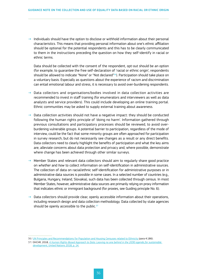$\rightarrow$  Individuals should have the option to disclose or withhold information about their personal characteristics. This means that providing personal information about one's ethnic affiliation should be optional for the potential respondents and this has to be clearly communicated to them in the instructions preceding the question on how they self-identify in racial or ethnic terms.

Data should be collected with the consent of the respondent, opt-out should be an option (for example, to guarantee the free self-declaration of 'racial or ethnic origin', respondents should be allowed to indicate "None" or "Not declared"<sup>36</sup>). Participation should take place on a voluntary basis. Especially as questions about the experience of racism and discrimination can entail emotional labour and stress, it is necessary to avoid over-burdening respondents.

- $\rightarrow$  Data collectors and organisations/bodies involved in data collection activities are recommended to invest in staff training (for enumerators and interviewers as well as data analysts and service providers). This could include developing an online training portal. Ethnic communities may be asked to supply external training about awareness.
- $\rightarrow$  Data collection activities should not have a negative impact: they should be conducted following the human rights principle of 'doing no harm'. Information gathered through previous consultations and participatory processes should be reviewed, to avoid overburdening vulnerable groups. A potential barrier to participation, regardless of the mode of interview, could be the fact that some minority groups are often approached for participation in survey research, but do not necessarily see changes as a result or any direct benefits. Data collectors need to clearly highlight the benefits of participation and what the key aims are, alleviate concerns about data protection and privacy and, where possible, demonstrate where change has been achieved through other similar surveys.
- Member States and relevant data collectors should aim to regularly share good practice on *whether* and *how* to collect information on self-identification in administrative sources. The collection of data on racial/ethnic self-identification for administrative purposes or in administrative data sources is possible in some cases. In a selected number of countries (e.g., Bulgaria, Hungary, Ireland, Slovakia), such data has been collected through census. In most Member States, however, administrative data sources are primarily relying on proxy information that indicates ethnic or immigrant background (for proxies, see Guiding principle No. 6).
- $\rightarrow$  Data collectors should provide clear, openly accessible information about their operations, including research design and data collection methodology. Data collected by state agencies should be openly accessible to the public.<sup>37</sup>

<sup>36/</sup> [UN Principles and Recommendations for Population and Housing Censuses related to Ethnicity](https://unstats.un.org/unsd/demographic-social/Standards-and-Methods/files/Principles_and_Recommendations/Population-and-Housing-Censuses/Series_M67rev3-E.pdf) (para 4.186).

<sup>37/</sup> OHCHR, 2018, *[A Human Rights-Based Approach to Data: Leaving no one behind in the 2030](https://www.ohchr.org/Documents/Issues/HRIndicators/GuidanceNoteonApproachtoData.pdf) agenda for sustainable [development](https://www.ohchr.org/Documents/Issues/HRIndicators/GuidanceNoteonApproachtoData.pdf)*, United Nations 2018, p. 14.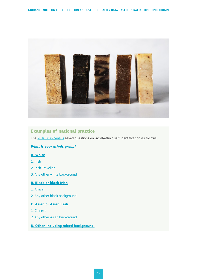<span id="page-36-0"></span>

#### **Examples of national practice**

The 2016 [Irish census](https://www.cso.ie/en/releasesandpublications/ep/p-cp8iter/p8iter/p8e/) asked questions on racial/ethnic self-identification as follows:

#### *What is your ethnic group?*

#### **A. White**

- 1. Irish
- 2. Irish Traveller
- 3. Any other white background

#### **B. Black or black Irish**

- 1. African
- 2. Any other black background

#### **C. Asian or Asian Irish**

- 1. Chinese
- 2. Any other Asian background
- **D. Other, including mixed background**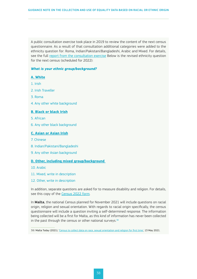A public consultation exercise took place in 2019 to review the content of the next census questionnaire. As a result of that consultation additional categories were added to the ethnicity question for: Roma, Indian/Pakistani/Bangladeshi, Arabic and Mixed. For details, see the full [report from the consultation exercise](https://www.cso.ie/en/census/census2022consultationonformcontent-closed/) Below is the revised ethnicity question for the next census (scheduled for 2022):

#### *What is your ethnic group/background?*

#### **A. White**

- 1. Irish
- 2. Irish Traveller
- 3. Roma
- 4. Any other white background

#### **B. Black or black Irish**

- 5. African
- 6. Any other black background

#### **C. Asian or Asian Irish**

- 7. Chinese
- 8. Indian/Pakistani/Bangladeshi
- 9. Any other Asian background

#### **D. Other, including mixed group/background**

- 10. Arabic
- 11. Mixed, write in description
- 12. Other, write in description

In addition, separate questions are asked for to measure disability and religion. For details, see this copy of the [Census 2022](https://www.cso.ie/en/media/csoie/census/census2021/Sample_Census_2022_Household_Form_English.pdf) form.

In **Malta**, the national Census planned for November 2021 will include questions on racial origin, religion and sexual orientation. With regards to racial origin specifically, the census questionnaire will include a question inviting a self-determined response. The information being collected will be a first for Malta, as this kind of information has never been collected in the past through the census or other national surveys. $38$ 

<sup>38/</sup> Malta Today (2021), ['Census to collect data on race, sexual orientation and religion for first time',](https://www.maltatoday.com.mt/news/national/109603/census_to_collect_data_on_race_sexual_orientation_and_religion_for_first_time#.YOa97jPitaQ) 13 May 2021.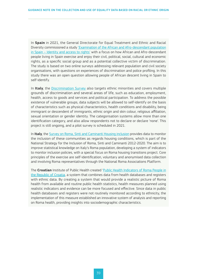In **Spain** in 2021, the General Directorate for Equal Treatment and Ethnic and Racial Diversity commissioned a study ['Examination of the African and Afro-descendant population](https://www.igualdad.gob.es/ministerio/dgigualdadtrato/Documents/Executive_summary.pdf)  in Spain [– Identity and access to rights'](https://www.igualdad.gob.es/ministerio/dgigualdadtrato/Documents/Executive_summary.pdf) with a focus on how African and Afro-descendant people living in Spain exercise and enjoy their civil, political, social, cultural and economic rights, as a specific social group and as a potential collective victim of discrimination. The study is based on two online surveys addressing relevant population and civil society organisations, with questions on experiences of discrimination and police profiling. In this study there was an open question allowing people of African descent living in Spain to self-identify.

In **Italy**, the [Discrimination Survey](https://unar.it/portale/documents/20125/117570/I+migranti+visti+dai+cittadini+%282011%29.pdf) also targets ethnic minorities and covers multiple grounds of discrimination and several areas of life, such as education, employment, health, access to goods and services and political participation. To address the possible existence of vulnerable groups, data subjects will be allowed to self-identify on the basis of characteristics such as physical characteristics, health conditions and disability, being immigrant or descendent of immigrants, ethnic origin and skin colour, religious affiliation, sexual orientation or gender identity. The categorisation systems allow more than one identification category, and also allow respondents not to declare or declare 'none'. This project is still ongoing, and a pilot survey is scheduled in 2021.

In **Italy**, the [Survey on Roma, Sinti and Caminanti Housing inclusion](https://unar.it/portale/documents/20125/117570/Abitare-in-transizione.pdf) provides data to monitor the inclusion of these communities as regards housing conditions, which is part of the National Strategy for the Inclusion of Roma, Sinti and Caminanti 2012-2020. The aim is to improve statistical knowledge on Italy's Roma population, developing a system of indicators to monitor inclusion policies, with a special focus on Roma housing transitions project. Core principles of the exercise are self-identification, voluntary and anonymised data collection and involving Roma representatives through the National Roma Associations Platform.

The **Croatian** Institute of Public Health created 'Public Health Indicators of Roma People in the Republic of Croatia, a system that combines data from health databases and registers with ethnic data. By creating a system that would provide a realistic picture of Roma health from available and routine public health statistics, health measures planned using realistic indicators and evidence can be more focused and effective. Since data in public health databases and registers were not routinely monitored according to ethnicity, the implementation of this measure established an innovative system of analysis and reporting on Roma health, providing insights into sociodemographic characteristics.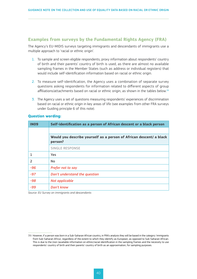#### <span id="page-39-0"></span>**Examples from surveys by the Fundamental Rights Agency (FRA)**

The Agency's EU-MIDIS surveys targeting immigrants and descendants of immigrants use a multiple approach to 'racial or ethnic origin'.

- 1. To sample and screen eligible respondents, proxy information about respondents' country of birth and their parents' country of birth is used, as there are almost no available sampling frames in the Member States (such as address or individual registers) that would include self-identification information based on racial or ethnic origin.
- 2. To measure self-identification, the Agency uses a combination of separate survey questions asking respondents for information related to different aspects of group affiliations/attachments based on racial or ethnic origin, as shown in the tables below.<sup>39</sup>
- 3. The Agency uses a set of questions measuring respondents' experiences of discrimination based on racial or ethnic origin in key areas of life (see examples from other FRA surveys under Guiding principle 6 of this note).

#### **Question wording:**

| <b>IN09</b>              | Self-identification as a person of African descent or a black person           |
|--------------------------|--------------------------------------------------------------------------------|
|                          |                                                                                |
|                          | Would you describe yourself as a person of African descent/ a black<br>person? |
|                          | <b>SINGLE RESPONSE</b>                                                         |
|                          | Yes                                                                            |
| $\overline{\phantom{a}}$ | <b>No</b>                                                                      |
| $-96$                    | Prefer not to say                                                              |
| $-97$                    | Don't understand the question                                                  |
| $-98$                    | Not applicable                                                                 |
| -99                      | Don't know                                                                     |

*Source: EU Survey on immigrants and descendants*

<sup>39/</sup> However, if a person was born in a Sub-Saharan African country, in FRA's analysis they will be based in the category 'immigrants from Sub-Saharan Africa', regardless of the extent to which they identify as European, as opposed to Sub-Saharan African. This is due to the (non-)available information on ethnic/racial identification in the sampling frames and the necessity to use respondents' country of birth and their parents' country of birth as an approximation, for sampling purposes.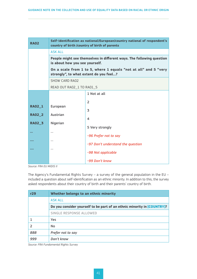| <b>RA02</b>    | Self-identification as national/European/country national of respondent's<br>country of birth /country of birth of parents |                                                                 |  |  |
|----------------|----------------------------------------------------------------------------------------------------------------------------|-----------------------------------------------------------------|--|--|
|                | <b>ASK ALL</b>                                                                                                             |                                                                 |  |  |
|                | People might see themselves in different ways. The following question<br>is about how you see yourself.                    |                                                                 |  |  |
|                | strongly", to what extent do you feel?                                                                                     | On a scale from 1 to 5, where 1 equals "not at all" and 5 "very |  |  |
|                | SHOW CARD RAO2                                                                                                             |                                                                 |  |  |
|                | READ OUT RA02_1 TO RA01_5                                                                                                  |                                                                 |  |  |
|                |                                                                                                                            | 1 Not at all                                                    |  |  |
|                |                                                                                                                            | $\overline{2}$                                                  |  |  |
| <b>RA02_1</b>  | European                                                                                                                   | 3                                                               |  |  |
| <b>RA02 2</b>  | Austrian                                                                                                                   |                                                                 |  |  |
| <b>RA02_3</b>  | Nigerian                                                                                                                   | $\overline{4}$                                                  |  |  |
|                |                                                                                                                            | 5 Very strongly                                                 |  |  |
| $\overline{a}$ | $\ddotsc$                                                                                                                  | -96 Prefer not to say                                           |  |  |
|                | $\ddotsc$                                                                                                                  | -97 Don't understand the question                               |  |  |
|                | $\ddotsc$                                                                                                                  |                                                                 |  |  |
|                |                                                                                                                            | -98 Not applicable                                              |  |  |
|                |                                                                                                                            | -99 Don't know                                                  |  |  |

*Source: FRA EU MIDIS II* 

The Agency's Fundamental Rights Survey – a survey of the general population in the EU – included a question about self-identification as an ethnic minority. In addition to this, the survey asked respondents about their country of birth and their parents' country of birth.

| r29 | Whether belongs to an ethnic minority                                   |  |  |
|-----|-------------------------------------------------------------------------|--|--|
|     | ASK ALL                                                                 |  |  |
|     | Do you consider yourself to be part of an ethnic minority in [COUNTRY]? |  |  |
|     | <b>SINGLE RESPONSE ALLOWED</b>                                          |  |  |
|     | Yes                                                                     |  |  |
|     | <b>No</b>                                                               |  |  |
| 888 | Prefer not to say                                                       |  |  |
| 999 | Don't know                                                              |  |  |

*Source: FRA Fundamental Rights Survey*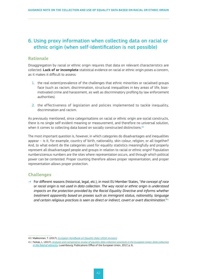# <span id="page-41-0"></span>6. Using proxy information when collecting data on racial or ethnic origin (when self-identification is not possible)

#### **Rationale**

Disaggregation by racial or ethnic origin requires that data on relevant characteristics are collected. **Lack of or incomplete** statistical evidence on racial or ethnic origin poses a concern, as it makes it difficult to assess:

- 1. the real extent/prevalence of the challenges that ethnic minorities or racialised groups face (such as racism, discrimination, structural inequalities in key areas of life, biasmotivated crime and harassment, as well as discriminatory profiling by law enforcement authorities).
- 2. the effectiveness of legislation and policies implemented to tackle inequality, discrimination and racism.

As previously mentioned, since categorisations on racial or ethnic origin are social constructs, there is no single self-evident meaning or measurement, and therefore no universal solution, when it comes to collecting data based on socially constructed distinctions.<sup>40</sup>

The most important question is, however, in which categories do disadvantages and inequalities appear – is it, for example, country of birth, nationality, skin colour, religion, or all together? And, to what extent do the categories used for equality statistics meaningfully and properly represent all disadvantaged people and groups in relation to racial or ethnic origin? Population numbers/census numbers are the sites where representation occurs, and through which political power can be contested. Proper counting therefore allows proper representation, and proper representation allows proper protection.

#### **Challenges**

→ For different reasons (historical, legal, etc.), in most EU Member States, "*the concept of race or racial origin is not used in data collection. The way racial or ethnic origin is understood impacts on the protection provided by the Racial Equality Directive and informs whether treatment apparently based on proxies such as immigrant status, nationality, language and certain religious practices is seen as direct or indirect, covert or overt discrimination.*" 41

<sup>40/</sup> Makkonnen, T. (2017), *[European Handbook on Equality Data \(2016](https://ec.europa.eu/newsroom/just/document.cfm?action=display&doc_id=43205) revision)*.

<sup>41/</sup> Farkas, L, (2017), *[Analysis and comparative review of equality data collection practices in the European Union: Data collection](https://www.statewatch.org/media/documents/news/2018/mar/eu-com-data-collection-field-of-equality-study-2017.pdf) [in the field of ethnicity](https://www.statewatch.org/media/documents/news/2018/mar/eu-com-data-collection-field-of-equality-study-2017.pdf),* Luxembourg: Publications Office of the European Union, 2017, p. 6.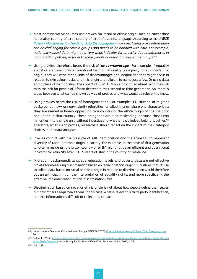- $\rightarrow$  Most administrative sources use proxies for racial or ethnic origin, such as citizenship/ nationality, country of birth, country of birth of parents, language. According to the UNECE *Poverty Measurement [– Guide to Data Disaggregation](https://unece.org/sites/default/files/2021-01/ECECESSTAT20204.pdf)*, however, "*using proxy information can be challenging for certain groups and needs to be handled with care. For example, nationality-based data might be a very weak indicator for ethnicity due to differences in naturalisation policies, or for indigenous people or autochthonous ethnic groups.*" 42
- Using proxies, therefore, bears the risk of '**under-coverage**': For example, if equality statistics are based only on country of birth or nationality (as a proxy for ethnicity/ethnic origin), they will miss other kinds of disadvantages and inequalities that might occur in relation to skin colour, racial or ethnic origin and religion, to name just a few. Or using data about place of birth to show the impact of COVID-19 on ethnic or racialised minorities will miss the risk for people of African descent in their second or third generation. So, there is a gap between what can be shown by way of proxies and what would be relevant to know.
- $\rightarrow$  Using proxies bears the risk of homogenisation: For example, "EU citizens 'of migrant background', 'new- or non-majority ethnicities' or 'allochthones' share one characteristic: they are named in binary opposition to a country or the ethnic origin of the majority population in that country. These categories are also misleading, because they lump minorities into a single unit, without investigating whether they indeed belong together."<sup>43</sup> Therefore, when using proxies, researchers should reflect on the impact of their category choices in the data analyses.
- $\rightarrow$  Proxies conflict with the principle of self-identification and therefore fail to represent diversity of racial or ethnic origin in society. For example, in the case of first generation long-term residents, the proxy 'country of birth' might not be an efficient and operational indicator for ethnicity after 10-15 years of stay in the country of residence.
- Migration (background), language, education levels and poverty data are not effective proxies for measuring discrimination based on racial or ethnic origin.44 Countries that refuse to collect data based on racial or ethnic origin in relation to discrimination would therefore put an artificial limit on the interpretation of equality rights, and more specifically, the effective implementation of non-discrimination laws.
- $\rightarrow$  Discrimination based on racial or ethnic origin is not about how people define themselves but how others see/perceive them. In this case, what is relevant is third-party identification, but this information is difficult to collect in a census.

<sup>42/</sup> United Nations Economic Commission for Europe (UNECE) (2020), *Poverty Measurement [– Guide to Data Disaggregation](https://unece.org/sites/default/files/2021-01/ECECESSTAT20204.pdf)*, p. 70.

<sup>43/</sup> Farkas, L, (2017), *[Analysis and comparative review of equality data collection practices in the European Union: Data collection](https://www.statewatch.org/media/documents/news/2018/mar/eu-com-data-collection-field-of-equality-study-2017.pdf) [in the field of ethnicity](https://www.statewatch.org/media/documents/news/2018/mar/eu-com-data-collection-field-of-equality-study-2017.pdf),* Luxembourg: Publications Office of the European Union, 2017, p. 38.

<sup>44/</sup> Ibid., p. 6.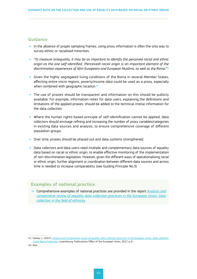#### <span id="page-43-0"></span>**Guidance**

- $\rightarrow$  In the absence of proper sampling frames, using proxy information is often the only way to survey ethnic or racialised minorities.
- $\rightarrow$  "To measure (in)equality, it may be as important to identify the perceived racial and ethnic *origin as the one self-identified. (Perceived) racial origin is an important element of the discrimination experiences of Afro-Europeans and European Muslims, as well as the Roma.*" 45
- $\rightarrow$  Given the highly segregated living conditions of the Roma in several Member States, affecting entire micro regions, poverty/income data could be used as a proxy, especially when combined with geographic location.<sup>46</sup>
- $\rightarrow$  The use of proxies should be transparent and information on this should be publicly available. For example, information notes for data users, explaining the definitions and limitations of the applied proxies, should be added to the technical (meta) information for the data collection.
- $\rightarrow$  Where the human rights-based principle of self-identification cannot be applied, data collectors should envisage refining and increasing the number of proxy variables/categories in existing data sources and analysis, to ensure comprehensive coverage of different population groups.
- $\rightarrow$  Over time, proxies should be phased out and data systems strengthened.
- $\rightarrow$  Data collectors and data users need multiple and complementary data sources of equality data based on racial or ethnic origin, to enable effective monitoring of the implementation of non-discrimination legislation. However, given the different ways of operationalising racial or ethnic origin, further alignment or coordination between different data sources and across time is needed to increase comparability (see Guiding Principle No.3).

#### **Examples of national practice**

→ Comprehensive examples of national practices are provided in the report *[Analysis and](https://www.statewatch.org/media/documents/news/2018/mar/eu-com-data-collection-field-of-equality-study-2017.pdf)  [comparative review of equality data collection practices in the European Union: Data](https://www.statewatch.org/media/documents/news/2018/mar/eu-com-data-collection-field-of-equality-study-2017.pdf)  [collection in the field of ethnicity](https://www.statewatch.org/media/documents/news/2018/mar/eu-com-data-collection-field-of-equality-study-2017.pdf).*

<sup>45/</sup> Farkas, L, (2017), *[Analysis and comparative review of equality data collection practices in the European Union: Data collection](https://www.statewatch.org/media/documents/news/2018/mar/eu-com-data-collection-field-of-equality-study-2017.pdf) [in the field of ethnicity](https://www.statewatch.org/media/documents/news/2018/mar/eu-com-data-collection-field-of-equality-study-2017.pdf),* Luxembourg: Publications Office of the European Union, 2017, p. 6. 46/ Ibid.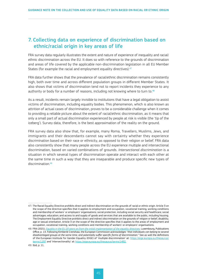# <span id="page-44-0"></span>7. Collecting data on experience of discrimination based on ethnic/racial origin in key areas of life

FRA survey data regularly illustrates the extent and nature of experience of inequality and racial/ ethnic discrimination across the EU. It does so with reference to the grounds of discrimination and areas of life covered by the applicable non-discrimination legislation in all EU Member States (for example the racial and employment equality directives).<sup>47</sup>

FRA data further shows that the prevalence of racial/ethnic discrimination remains consistently high, both over time and across different population groups in different Member States. It also shows that victims of discrimination tend not to report incidents they experience to any authority or body for a number of reasons, including not knowing where to turn to.<sup>48</sup>

As a result, incidents remain largely invisible to institutions that have a legal obligation to assist victims of discrimination, including equality bodies. This phenomenon, which is also known as attrition of actual cases of discrimination, proves to be a considerable challenge when it comes to providing a reliable picture about the extent of racial/ethnic discrimination, as it means that only a small part of actual discrimination experienced by people at risk is visible (the 'tip of the iceberg'). Survey data, therefore, is the best approximation of the reality on the ground.

FRA survey data also show that, for example, many Roma, Travellers, Muslims, Jews, and immigrants and their descendants cannot say with certainty whether they experience discrimination based on their race or ethnicity, as opposed to their religion or belief. FRA data also consistently show that many people across the EU experience multiple and intersectional discrimination, based on varied combinations of grounds. *Intersectional discrimination* is a situation in which several types of discrimination operate and interact with each other at the same time in such a way that they are inseparable and produce specific new types of discrimination.<sup>49</sup>

<sup>47/</sup> The Racial Equality Directive prohibits direct and indirect discrimination on the grounds of racial or ethnic origin. Article 3 on the scope of the directive specifies that it applies to employment and occupation, vocational training, working conditions and membership of workers' or employers' organisations; social protection, including social security and healthcare; social advantages; education; and access to and supply of goods and services that are available to the public, including housing. The Employment Equality Directive prohibits direct and indirect discrimination on the grounds of religion or belief, disability, age or sexual orientation. Article 3 on the scope of the directive specifies that it applies to the areas of employment and occupation, vocational training, working conditions and membership of workers' or employers' organisations.

<sup>48/</sup> FRA (2021), *Equality in the EU 20 [years on from the initial implementation of the equality directives](https://fra.europa.eu/sites/default/files/fra_uploads/fra-2021-opinion-equality-directives-01-2021_en.pdf)*. Luxembourg, Publications Office, p. 13. Following Kimberlé Crenshaw, the European Commission acknowledges "*that individuals can belong to several disadvantaged groups at the same time, and potentially suffer specific forms of discrimination.*" See as well the definitions of the European Institute for Gender Equality (EIGE) of 'multiple discrimination' at: [https://eige.europa.eu/thesaurus/](https://eige.europa.eu/thesaurus/terms/1297 ) [terms/1297](https://eige.europa.eu/thesaurus/terms/1297 ) and 'intersectionality' at:<https://eige.europa.eu/thesaurus/terms/1492>.

<sup>49/</sup> Ibid, p. 11.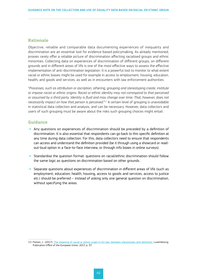#### <span id="page-45-0"></span>**Rationale**

Objective, reliable and comparable data documenting experiences of inequality and discrimination are an essential tool for evidence-based policymaking. As already mentioned, proxies rarely offer a reliable picture of discrimination affecting racialised groups and ethnic minorities. Collecting data on experiences of discrimination of different groups, on different grounds and in different areas of life is one of the most effective ways to assess the effective implementation of anti-discrimination legislation. It is a powerful tool to monitor to what extent racial or ethnic biases might be used for example in access to employment, housing, education, health, and goods and services, as well as in encounters with law enforcement authorities.

"*Processes, such as attribution or ascription, othering, grouping and stereotyping create, institute or impose racial or ethnic origins. Racial or ethnic identity may not correspond to that perceived or assumed by a third party. Identity is fluid and may change over time. That, however, does not necessarily impact on how that person is perceived.*" 50 A certain level of grouping is unavoidable in statistical data collection and analysis, and can be necessary. However, data collectors and users of such grouping must be aware about the risks such grouping choices might entail.

#### **Guidance**

- $\rightarrow$  Any questions on experiences of discrimination should be preceded by a definition of discrimination. It is also essential that respondents can go back to this specific definition at any time during data collection. For this, data collectors need to ensure that respondents can access and understand the definition provided (be it through using a showcard or readout-loud option in a face-to-face interview, or through info boxes in online surveys).
- $\rightarrow$  Standardise the question format: questions on racial/ethnic discrimination should follow the same logic as questions on discrimination based on other grounds.
- $\rightarrow$  Separate questions about experiences of discrimination in different areas of life (such as employment, education, health, housing, access to goods and services, access to justice etc.) should be preferred – instead of asking only one general question on discrimination, without specifying the areas.

<sup>50/</sup> Farkas, L. (2017), [The meaning of racial or ethnic origin in EU law: between stereotypes and identities](https://ec.europa.eu/newsroom/just/items/54924), Luxembourg, Publication Office of the European Union, 2017, p. 37.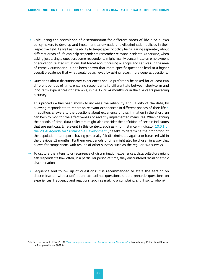- $\rightarrow$  Calculating the prevalence of discrimination for different areas of life also allows policymakers to develop and implement tailor-made anti-discrimination policies in their respective field. As well as the ability to target specific policy fields, asking separately about different areas of life can help respondents remember relevant incidents. Otherwise, when asking just a single question, some respondents might mainly concentrate on employment or education-related situations, but forget about housing or shops and services. In the area of crime victimisation, it has been shown that more specific questions lead to a higher overall prevalence that what would be achieved by asking fewer, more general questions.
- $\rightarrow$  Questions about discriminatory experiences should preferably be asked for at least two different periods of time, enabling respondents to differentiate between short-term and long-term experiences (for example, in the 12 or 24 months, or in the five years preceding a survey).

This procedure has been shown to increase the reliability and validity of the data, by allowing respondents to report on relevant experiences in different phases of their life.<sup>51</sup> In addition, answers to the questions about experience of discrimination in the short run can help to monitor the effectiveness of recently implemented measures. When defining the periods of time, data collectors might also consider the definition of certain indicators that are particularly relevant in this context, such as  $-$  for instance  $-$  indicator [10.3.1](https://unstats.un.org/sdgs/metadata/?Text=&Goal=10&Target=10.3) of the 2030 [Agenda for Sustainable Development](https://unstats.un.org/sdgs/metadata/?Text=&Goal=10&Target=10.3) (it seeks to determine the proportion of the population that reports having personally felt discriminated against or harassed within the previous 12 months). Furthermore, periods of time might also be chosen in a way that allows for comparisons with results of other surveys, such as the regular FRA surveys.

- $\rightarrow$  To capture the intensity or recurrence of discrimination experiences, data collectors might ask respondents how often, in a particular period of time, they encountered racial or ethnic discrimination.
- $\rightarrow$  Sequence and follow-up of questions: it is recommended to start the section on discrimination with a definition; attitudinal questions should precede questions on experiences; frequency and reactions (such as making a complaint, and if so, to whom).

<sup>51/</sup> See for example: FRA (2014), *[Violence against women: an EU-wide survey Main results](https://fra.europa.eu/en/publication/2014/violence-against-women-eu-wide-survey-main-results-report),* Luxembourg: Publication Office of the European Union, (2015).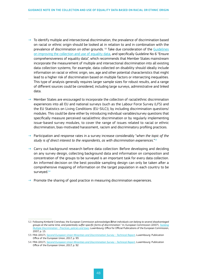- To identify multiple and intersectional discrimination, the prevalence of discrimination based on racial or ethnic origin should be looked at in relation to and in combination with the prevalence of discrimination on other grounds. 52 Take due consideration of the [Guidelines](https://ec.europa.eu/info/sites/default/files/final_guidelines_4-10-18_without_date_july.pdf) [on improving the collection and use of equality data,](https://ec.europa.eu/info/sites/default/files/final_guidelines_4-10-18_without_date_july.pdf) and specifically Guideline No 6 "Ensure comprehensiveness of equality data", which recommends that Member States mainstream incorporate the measurement of multiple and intersectional discrimination into all existing data collection systems; for example, data collected on disability should ideally include information on racial or ethnic origin, sex, age and other potential characteristics that might lead to a higher risk of discrimination based on multiple factors or intersecting inequalities. This type of analysis generally requires larger sample sizes for robust results, and a range of different sources could be considered, including large surveys, administrative and linked data.
- $\rightarrow$  Member States are encouraged to incorporate the collection of racial/ethnic discrimination experiences into all EU and national surveys (such as the Labour Force Survey (LFS) and the EU Statistics on Living Conditions (EU-SILC)), by including discrimination questions/ modules. This could be done either by introducing individual variables/survey questions that specifically measure perceived racial/ethnic discrimination or by regularly implementing issue-based survey modules, to cover the range of issues related to racial or ethnic discrimination, bias-motivated harassment, racism and discriminatory profiling practices.
- → Participation and response rates in a survey increase considerably "*when the topic of the study is of direct interest to the respondents, as with discrimination experiences.*" 53
- $\rightarrow$  Carry out background research before data collection: Before developing and deciding on any survey design, collecting background data and information on composition and concentration of the groups to be surveyed is an important task for every data collection. An informed decision on the best possible sampling design can only be taken after a comprehensive mapping of information on the target population in each country to be surveyed.<sup>54</sup>
- $\rightarrow$  Promote the sharing of good practice in measuring discrimination experiences.

<sup>52/</sup> Following Kimberlé Crenshaw, the European Commission acknowledges *that individuals can belong to several disadvantaged groups at the same time, and potentially suffer specific forms of discrimination.*" In; European Commission (2007), *[Tackling](https://op.europa.eu/en/publication-detail/-/publication/f1f6da3a-2c36-4ef7-a7c2-b906349220b4) Multiple Discrimination [- Practices, policies and laws](https://op.europa.eu/en/publication-detail/-/publication/f1f6da3a-2c36-4ef7-a7c2-b906349220b4)*, Luxembourg: Office for Official Publications of the European Commission, 2007, p. 15.

<sup>53/</sup> FRA (2017), *[Second European Union Minorities and Discrimination Survey](https://fra.europa.eu/sites/default/files/fra_uploads/fra-2017-eu-midis-ii-technical-report_en.pdf) - Technical Report*, Luxembourg: Publication Office of the European Union, 2017, p. 93.

<sup>54/</sup> FRA (2017), *[Second European Union Minorities and Discrimination Survey](https://fra.europa.eu/sites/default/files/fra_uploads/fra-2017-eu-midis-ii-technical-report_en.pdf) - Technical Report*, Luxembourg: Publication Office of the European Union, 2017, p. 92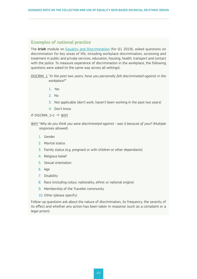#### <span id="page-48-0"></span>**Examples of national practice**

The **Irish** module on [Equality and Discrimination](https://www.cso.ie/en/releasesandpublications/er/ed/equalityanddiscrimination2019/) (for Q1 2019), asked questions on discrimination for key areas of life, including workplace discrimination, accessing and treatment in public and private services, education, housing, health, transport and contact with the police. To measure experience of discrimination in the workplace, the following questions were asked (in the same way across all settings):

DISCRIM\_1 *"In the past two years, have you personally felt discriminated against in the workplace?"* 

- 1. Yes
- 2. No
- 3. Not applicable (don't work, haven't been working in the past two years)
- 4. Don't know

IF DISCRIM 1=1 -> WHY

- WHY "*Why do you think you were discriminated against was it because of your?* (Multiple responses allowed)
	- 1. Gender
	- 2. Marital status
	- 3. Family status (e.g. pregnant or with children or other dependants)
	- 4. Religious belief
	- 5. Sexual orientation
	- 6. Age
	- 7. Disability
	- 8. Race (including colour, nationality, ethnic or national origins)
	- 9. Membership of the Traveller community
	- 10. Other (please specify)

Follow-up questions ask about the nature of discrimination, its frequency, the severity of its effect and whether any action has been taken in response (such as a complaint or a legal action).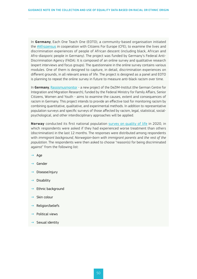In **Germany**, Each One Teach One (EOTO), a community-based organisation initiated the **[#Afrozensus](https://afrozensus.de/)** in cooperation with Citizens For Europe (CFE), to examine the lives and discrimination experiences of people of African descent (including black, African and Afro-diasporic people in Germany). The project was funded by Germany's Federal Anti-Discrimination Agency (FADA). It is composed of an online survey and qualitative research (expert interviews and focus groups). The questionnaire in the online survey contains various modules. One of them is designed to capture, in detail, discrimination experiences on different grounds, in all relevant areas of life. The project is designed as a panel and EOTO is planning to repeat the online survey in future to measure anti-black racism over time.

In **Germany**, [Rassismusmonitor](https://www.rassismusmonitor.de/) - a new project of the DeZIM-Institut (the German Centre for Integration and Migration Research), funded by the Federal Ministry for Family Affairs, Senior Citizens, Women and Youth - aims to examine the causes, extent and consequences of racism in Germany. This project intends to provide an effective tool for monitoring racism by combining quantitative, qualitative, and experimental methods. In addition to representative population surveys and specific surveys of those affected by racism, legal, statistical, socialpsychological, and other interdisciplinary approaches will be applied.

**Norway** conducted its first national population [survey on quality of life](https://www.ssb.no/sosiale-forhold-og-kriminalitet/artikler-og-publikasjoner/livskvalitetsundersokelsen-2020) in 2020, in which respondents were asked if they had experienced worse treatment than others (discrimination) in the last 12 months. The responses were distributed among respondents with *immigrant background, Norwegian-born with immigrant parents* and *the rest of the population*. The respondents were then asked to choose "reason(s) for being discriminated against" from the following list:

- $\rightarrow$  Age
- $\rightarrow$  Gender
- Disease/injury
- $\rightarrow$  Disability
- $\rightarrow$  Ethnic background
- Skin colour
- Religion/beliefs
- $\rightarrow$  Political views
- $\rightarrow$  Sexual identity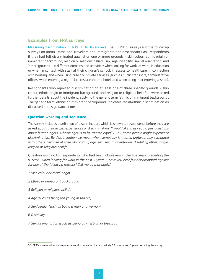#### <span id="page-50-0"></span>**Examples from FRA surveys**

[Measuring discrimination in FRA's EU-MIDIS surveys:](https://fra.europa.eu/sites/default/files/fra_uploads/fra-2017-eu-midis-ii-main-results_en.pdf) The EU MIDIS surveys and the follow-up surveys on Roma, Roma and Travellers and immigrants and descendants ask respondents if they had felt discriminated against on one or more grounds – skin colour, ethnic origin or immigrant background, religion or religious beliefs, sex, age, disability, sexual orientation, and 'other' grounds – in different domains and activities: when looking for work, at work, in education or when in contact with staff at their children's school, in access to healthcare, in connection with housing, and when using public or private services (such as public transport, administrative offices, when entering a night club, restaurant or a hotel, and when being in or entering a shop).

Respondents who reported discrimination on at least one of three specific grounds – skin colour, ethnic origin or immigrant background, and religion or religious beliefs – were asked further details about the incident, applying the generic term 'ethnic or immigrant background'. The generic term 'ethnic or immigrant background' indicates racial/ethnic discrimination as discussed in this guidance note.

#### **Question wording and sequence**

The survey includes a definition of discrimination, which is shown to respondents before they are asked about their actual experiences of discrimination: *"I would like to ask you a few questions about human rights. A basic right is to be treated equally. Still, some people might experience discrimination. By discrimination we mean when somebody is treated unfavourably compared with others because of their skin colour, age, sex, sexual orientation, disability, ethnic origin, religion or religious beliefs."*

Question wording for respondents who had been jobseekers in the five years preceding the survey: *"When looking for work in the past 5 years55, have you ever felt discriminated against for any of the following reasons? Tell me all that apply."*

- *1 Skin colour or racial origin*
- *2 Ethnic or immigrant background*
- *3 Religion or religious beliefs*
- *4 Age (such as being too young or too old)*
- *5 Sex/gender (such as being a man or a woman)*
- *6 Disability*
- *7 Sexual orientation (such as being gay, lesbian or bisexual)*

<sup>55/</sup> FRA's surveys ask about experiences of discrimination for two periods: 12 months and 5 years preceding the survey.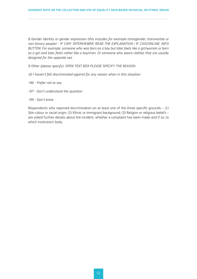*8 Gender identity or gender expression (this includes for example transgender, transvestite or non-binary people) - IF CAPI: INTERVIEWER: READ THE EXPLANATION / IF CASI/ONLINE: INFO BUTTON: For example, someone who was born as a boy but later feels like a girl/woman or born as a girl and later feels rather like a boy/man. Or someone who wears clothes that are usually designed for the opposite sex.*

*9 Other (please specify): OPEN TEXT BOX PLEASE SPECIFY THE REASON*

- *10 I haven't felt discriminated against for any reason when in this situation*
- *-96 Prefer not to say*
- *-97 Don't understand the question*
- *-99 Don't know*

Respondents who reported discrimination on at least one of the three specific grounds – (1) Skin colour or racial origin; (2) Ethnic or immigrant background; (3) Religion or religious beliefs – are asked further details about the incident, whether a complaint has been made and if so, to which institution/ body.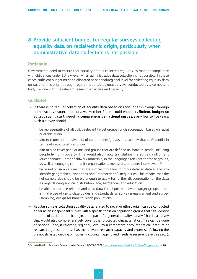# <span id="page-52-0"></span>8. Provide sufficient budget for regular surveys collecting equality data on racial/ethnic origin, particularly when administrative data collection is not possible

#### **Rationale**

Governments need to ensure that equality data is collected regularly, to monitor compliance with obligations under EU law, even when administrative data collection is not possible. In these cases sufficient budget must be allocated at national/regional level for collecting equality data on racial/ethnic origin through regular national/regional surveys conducted by a competent body (i.e. one with the relevant research expertise and capacity).

#### **Guidance**

- $\rightarrow$  If there is no regular collection of equality data based on racial or ethnic origin through administrative sources or surveys, Member States could ensure **sufficient budget to collect such data through a comprehensive national survey**, every four to five years. Such a survey should:
	- ⇢ be representative of all policy relevant target groups for disaggregation based on racial or ethnic origin.
	- ⇢ aim to represent the diversity of communities/groups in a country that self-identify in terms of racial or ethnic origin.
	- $\rightarrow$  aim to also cover populations and groups that are defined as 'hard-to-reach', including people living in poverty. This would also imply translating the survey instrument (questionnaire + other fieldwork materials) in the languages relevant for these groups, as well as engaging community organisations, mediators, and peer interviewers.<sup>56</sup>
	- ⇢ be based on sample sizes that are sufficient to allow for more detailed data analysis to identify geographical disparities and (intersectional) inequalities. This means that the net sample size should be big enough to allow for further disaggregation of the data as regards geographical distribution, age, sex/gender, and education.
	- $\rightarrow$  be able to produce reliable and valid data for all policy-relevant target groups that is, make use of up-to-date guides and standards on survey measurement and survey (sampling) design for hard-to-reach populations.
- $\rightarrow$  Regular surveys collecting equality data related to racial or ethnic origin can be conducted either as an independent survey with a specific focus on population groups that self-identify in terms of racial or ethnic origin, or as part of a general equality survey (that is, a survey that would also comprehensively cover other protected characteristics). This can be done at national (and, if relevant, regional) level, by a competent body, statistical institute or research organisation that has the relevant research capacity and expertise, following the previously listed guiding principles (including mapping and needs assessment exercises etc.).

<sup>56/</sup> United Nations Economic Commission for Europe (UNECE) (2020*), Poverty Measurement – Guide to Data Disaggregation*, p. 70. .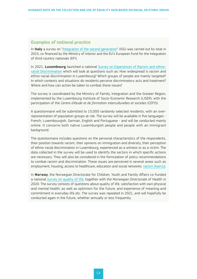#### <span id="page-53-0"></span>**Examples of national practice**

In **Italy** a survey on ["Integration of the second generation"](https://urlsand.esvalabs.com/?u=https%3A%2F%2Fwww.istat.it%2Fen%2Farchivio%2F182915&e=890ecce2&h=eddc4f7f&f=n&p=y) (ISG) was carried out by Istat in 2015, co-financed by the Ministry of Interior and the EU's European Fund for the Integration of third-country nationals (EFI).

In 2021, **Luxembourg** launched a national [Survey on Experiences of Racism and ethno](https://gouvernement.lu/en/actualites/toutes_actualites/communiques/2021/06-juin/18-enquete-racisme-discriminations.html)[racial Discrimination](https://gouvernement.lu/en/actualites/toutes_actualites/communiques/2021/06-juin/18-enquete-racisme-discriminations.html) which will look at questions such as: How widespread is racism and ethno-racial discrimination in Luxembourg? Which groups of people are mainly targeted? In which contexts and situations do residents perceive discriminatory acts and treatment? Where and how can action be taken to combat these issues?

The survey is coordinated by the Ministry of Family, Integration and the Greater Region, implemented by the Luxembourg Institute of Socio-Economic Research (LISER), with the participation of the *Centre d'étude et de formation interculturelles et sociales* (CEFIS).

A questionnaire will be submitted to 15,000 randomly selected residents, with an overrepresentation of population groups at risk. The survey will be available in five languages - French, Luxembourgish, German, English and Portuguese - and will be conducted mainly online. It concerns both native Luxemburgish people and people with an immigrant background.

The questionnaire includes questions on the personal characteristics of the respondents, their position towards racism, their opinions on immigration and diversity, their perception of ethno-racial discrimination in Luxembourg, experienced as a witness or as a victim. The data collected in the survey will be used to identify the sectors in which specific actions are necessary. They will also be considered in the formulation of policy recommendations to combat racism and discrimination. These issues are perceived in several areas such as employment, housing, access to healthcare, education and social networks: [racism \(liser.lu\).](https://surveyracism.liser.lu/)

In **Norway**, the Norwegian Directorate for Children, Youth and Family Affairs co-funded a national [survey on quality of life](https://www.ssb.no/sosiale-forhold-og-kriminalitet/artikler-og-publikasjoner/livskvalitet-i-norge-2020), together with the Norwegian Directorate of Health in 2020. The survey consists of questions about quality of life, satisfaction with own physical and mental health, as well as optimism for the future, and experience of meaning and commitment in everyday life etc. The survey was repeated in 2021, and will hopefully be conducted again in the future, whether annually or less frequently.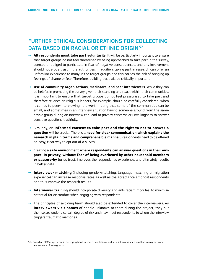# <span id="page-54-0"></span>FURTHER ETHICAL CONSIDERATIONS FOR COLLECTING DATA BASED ON RACIAL OR ETHNIC ORIGIN<sup>57</sup>

- → **All respondents must take part voluntarily.** It will be particularly important to ensure that target groups do not feel threatened by being approached to take part in the survey, coerced or obliged to participate in fear of negative consequences, and any involvement should not erode trust in the authorities. In addition, taking part in research can offer an unfamiliar experience to many in the target groups and this carries the risk of bringing up feelings of shame or fear. Therefore, building trust will be critically important.
- → **Use of community organisations, mediators, and peer interviewers.** While they can be helpful in promoting the survey given their standing and reach within their communities, it is important to ensure that target groups do not feel pressurised to take part and therefore reliance on religious leaders, for example, should be carefully considered. When it comes to peer-interviewing, it is worth noting that some of the communities can be small, and sometimes in an interview situation having someone around from the same ethnic group during an interview can lead to privacy concerns or unwillingness to answer sensitive questions truthfully.
- → Similarly, an **informed consent to take part and the right to not to answer a question** will be crucial. There is a **need for clear communication which explains the research in plain terms and comprehensible manner.** Respondents need to be offered an easy, clear way to opt out of a survey.
- → Creating a **safe environment where respondents can answer questions in their own pace, in privacy, without fear of being overheard by other household members or passers-by** builds trust, improves the respondent's experience, and ultimately results in better data.
- → **Interviewer matching** (including gender-matching, language matching or migration experience) can increase response rates as well as the acceptance amongst respondents and thus improve the research results.
- $\rightarrow$  **Interviewer training** should incorporate diversity and anti-racism modules, to minimise potential for discomfort when engaging with respondents.
- $\rightarrow$  The principles of avoiding harm should also be extended to cover the interviewers. As **interviewers visit homes** of people unknown to them during the project, they put themselves under a certain degree of risk and may meet respondents to whom the interview triggers traumatic memories.

<sup>57/</sup> Based on FRA's experience in surveying hard-to-reach populations and (ethnic) minorities, as well as immigrants and descendants of immigrants.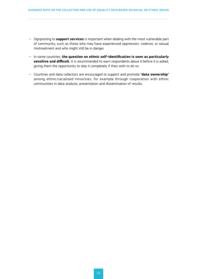- → Signposting to **support services** is important when dealing with the most vulnerable part of community, such as those who may have experienced oppression, violence, or sexual mistreatment and who might still be in danger.
- → In some countries, **the question on ethnic self-identification is seen as particularly sensitive and difficult.** It is recommended to warn respondents about it before it is asked, giving them the opportunity to skip it completely if they wish to do so.
- → Countries and data collectors are encouraged to support and promote **'data ownership'** among ethnic/racialised minorities, for example through cooperation with ethnic communities in data analysis, presentation and dissemination of results.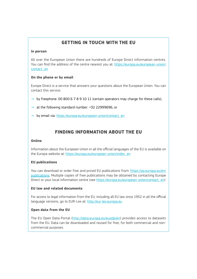# **GETTING IN TOUCH WITH THE EU**

#### **In person**

All over the European Union there are hundreds of Europe Direct information centres. You can find the address of the centre nearest you at: [https://europa.eu/european-union/](https://europa.eu/european-union/contact_en) [contact\\_en](https://europa.eu/european-union/contact_en)

#### **On the phone or by email**

Europe Direct is a service that answers your questions about the European Union. You can contact this service:

- $\rightarrow$  by freephone: 00 800 6 7 8 9 10 11 (certain operators may charge for these calls),
- $\rightarrow$  at the following standard number: +32 22999696, or
- $\rightarrow$  by email via: [https://europa.eu/european-union/contact\\_en](https://europa.eu/european-union/contact_en)

### **FINDING INFORMATION ABOUT THE EU**

#### **Online**

Information about the European Union in all the official languages of the EU is available on the Europa website at: [https://europa.eu/european-union/index\\_en](https://europa.eu/european-union/index_en)

#### **EU publications**

You can download or order free and priced EU publications from: [https://op.europa.eu/en/](https://op.europa.eu/en/publications) [publications.](https://op.europa.eu/en/publications) Multiple copies of free publications may be obtained by contacting Europe Direct or your local information centre (see [https://europa.eu/european-union/contact\\_en](https://europa.eu/european-union/contact_en)).

#### **EU law and related documents**

For access to legal information from the EU, including all EU law since 1952 in all the official language versions, go to EUR-Lex at: <http://eur-lex.europa.eu>

#### **Open data from the EU**

The EU Open Data Portal (<http://data.europa.eu/euodp/en>) provides access to datasets from the EU. Data can be downloaded and reused for free, for both commercial and noncommercial purposes.